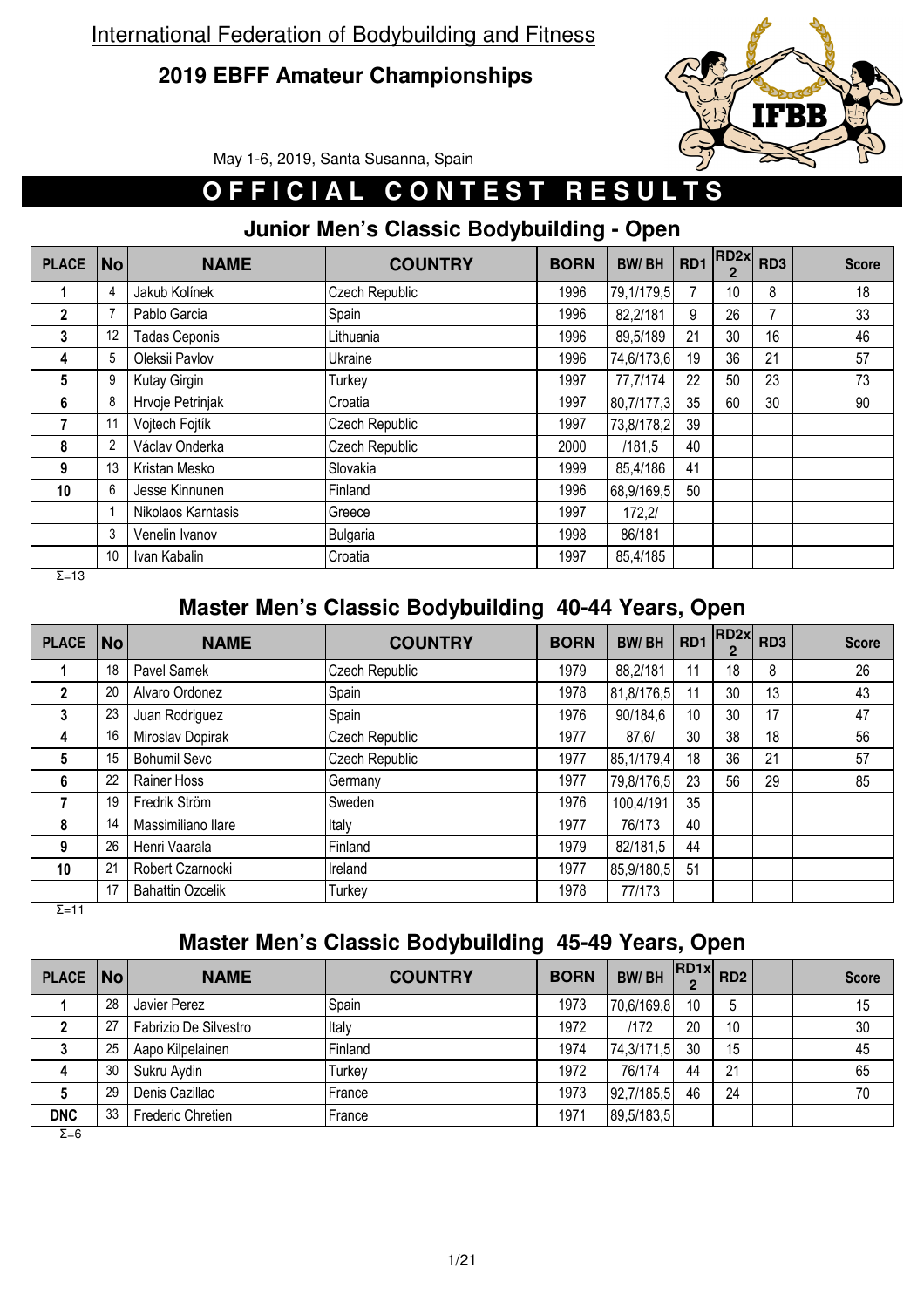## **2019 EBFF Amateur Championships**



May 1-6, 2019, Santa Susanna, Spain

# **OFFICIAL CONTEST RESULTS**

#### **Junior Men's Classic Bodybuilding - Open**

| <b>PLACE</b>   | No | <b>NAME</b>          | <b>COUNTRY</b> | <b>BORN</b> | <b>BW/BH</b> | <b>RD1</b> | RD2x <br>2 | RD <sub>3</sub> | <b>Score</b> |
|----------------|----|----------------------|----------------|-------------|--------------|------------|------------|-----------------|--------------|
|                | 4  | Jakub Kolínek        | Czech Republic | 1996        | 79,1/179,5   |            | 10         | 8               | 18           |
| $\overline{2}$ |    | Pablo Garcia         | Spain          | 1996        | 82,2/181     | 9          | 26         |                 | 33           |
| 3              | 12 | <b>Tadas Ceponis</b> | Lithuania      | 1996        | 89,5/189     | 21         | 30         | 16              | 46           |
| 4              | 5  | Oleksii Pavlov       | Ukraine        | 1996        | 74,6/173,6   | 19         | 36         | 21              | 57           |
| 5              | 9  | Kutay Girgin         | Turkey         | 1997        | 77,7/174     | 22         | 50         | 23              | 73           |
| 6              | 8  | Hrvoje Petrinjak     | Croatia        | 1997        | 80,7/177,3   | 35         | 60         | 30              | 90           |
|                | 11 | Vojtech Fojtík       | Czech Republic | 1997        | 73,8/178,2   | 39         |            |                 |              |
| 8              | 2  | Václav Onderka       | Czech Republic | 2000        | /181.5       | 40         |            |                 |              |
| 9              | 13 | Kristan Mesko        | Slovakia       | 1999        | 85,4/186     | 41         |            |                 |              |
| 10             | 6  | Jesse Kinnunen       | Finland        | 1996        | 68,9/169,5   | 50         |            |                 |              |
|                |    | Nikolaos Karntasis   | Greece         | 1997        | 172.2/       |            |            |                 |              |
|                | 3  | Venelin Ivanov       | Bulgaria       | 1998        | 86/181       |            |            |                 |              |
|                | 10 | Ivan Kabalin         | Croatia        | 1997        | 85,4/185     |            |            |                 |              |
| $\Sigma = 13$  |    |                      |                |             |              |            |            |                 |              |

**Master Men's Classic Bodybuilding 40-44 Years, Open**

| <b>PLACE</b> | <b>No</b> | <b>NAME</b>             | <b>COUNTRY</b> | <b>BORN</b> | <b>BW/BH</b> | RD1 | RD <sub>2x</sub><br>2 | RD <sub>3</sub> | <b>Score</b> |
|--------------|-----------|-------------------------|----------------|-------------|--------------|-----|-----------------------|-----------------|--------------|
|              | 18        | Pavel Samek             | Czech Republic | 1979        | 88,2/181     | 11  | 18                    | 8               | 26           |
| $\mathbf{2}$ | 20        | Alvaro Ordonez          | Spain          | 1978        | 81,8/176,5   | 11  | 30                    | 13              | 43           |
| 3            | 23        | Juan Rodriguez          | Spain          | 1976        | 90/184,6     | 10  | 30                    | 17              | 47           |
| 4            | 16        | Miroslav Dopirak        | Czech Republic | 1977        | 87.6/        | 30  | 38                    | 18              | 56           |
| 5            | 15        | <b>Bohumil Sevc</b>     | Czech Republic | 1977        | 85,1/179,4   | 18  | 36                    | 21              | 57           |
| 6            | 22        | Rainer Hoss             | Germany        | 1977        | 79,8/176,5   | 23  | 56                    | 29              | 85           |
|              | 19        | Fredrik Ström           | Sweden         | 1976        | 100,4/191    | 35  |                       |                 |              |
| 8            | 14        | Massimiliano Ilare      | Italy          | 1977        | 76/173       | 40  |                       |                 |              |
| 9            | 26        | Henri Vaarala           | Finland        | 1979        | 82/181,5     | 44  |                       |                 |              |
| 10           | 21        | Robert Czarnocki        | Ireland        | 1977        | 85,9/180,5   | 51  |                       |                 |              |
|              | 17        | <b>Bahattin Ozcelik</b> | Turkey         | 1978        | 77/173       |     |                       |                 |              |

Σ=11

## **Master Men's Classic Bodybuilding 45-49 Years, Open**

| PLACE   No |    | <b>NAME</b>           | <b>COUNTRY</b> | <b>BORN</b> | <b>BW/BH</b> |    | $R$ D1x $R$ D2 |  | <b>Score</b> |
|------------|----|-----------------------|----------------|-------------|--------------|----|----------------|--|--------------|
|            | 28 | Javier Perez          | <b>Spain</b>   | 1973        | 70,6/169,8   | 10 | . ხ            |  | 15           |
|            | 27 | Fabrizio De Silvestro | Italy          | 1972        | /172         | 20 | 10             |  | 30           |
|            | 25 | Aapo Kilpelainen      | Finland        | 1974        | 74,3/171,5   | 30 | 15             |  | 45           |
|            | 30 | Sukru Aydin           | Turkey         | 1972        | 76/174       | 44 | 21             |  | 65           |
|            | 29 | Denis Cazillac        | France         | 1973        | 92,7/185,5   | 46 | 24             |  | 70           |
| <b>DNC</b> | 33 | Frederic Chretien     | France         | 1971        | 89,5/183,5   |    |                |  |              |

 $\overline{Σ=6}$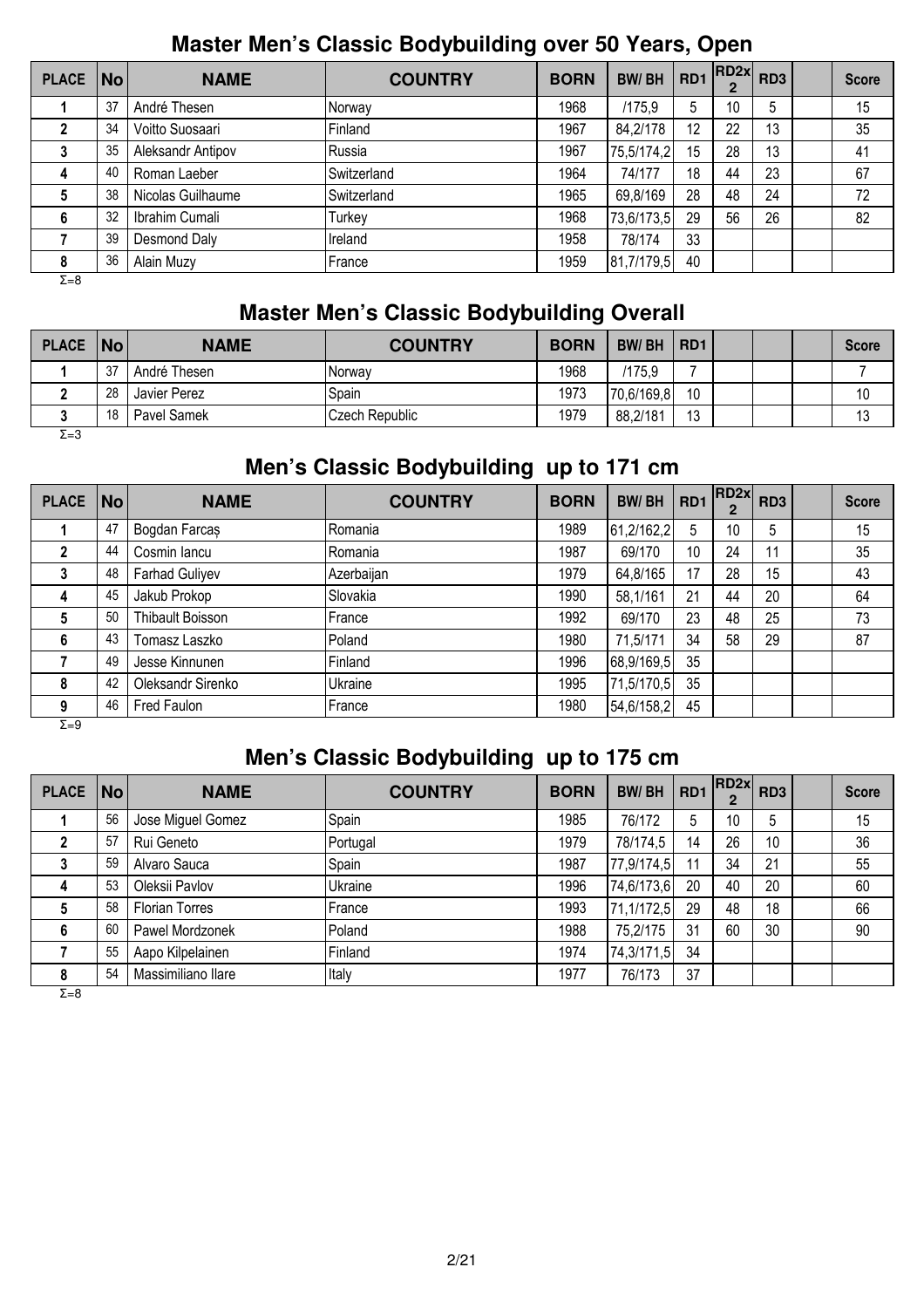## **Master Men's Classic Bodybuilding over 50 Years, Open**

| PLACE   No   |    | <b>NAME</b>       | <b>COUNTRY</b> | <b>BORN</b> | <b>BW/BH</b> | RD <sub>1</sub> | RD2x <br>$\mathbf{2}$ | RD <sub>3</sub> | <b>Score</b> |
|--------------|----|-------------------|----------------|-------------|--------------|-----------------|-----------------------|-----------------|--------------|
|              | 37 | André Thesen      | Norway         | 1968        | /175,9       | 5               | 10                    | 5               | 15           |
|              | 34 | Voitto Suosaari   | Finland        | 1967        | 84,2/178     | 12              | 22                    | 13              | 35           |
| 3            | 35 | Aleksandr Antipov | Russia         | 1967        | 75,5/174,2   | 15              | 28                    | 13              | 41           |
| 4            | 40 | Roman Laeber      | Switzerland    | 1964        | 74/177       | 18              | 44                    | 23              | 67           |
| 5            | 38 | Nicolas Guilhaume | Switzerland    | 1965        | 69,8/169     | 28              | 48                    | 24              | 72           |
| 6            | 32 | Ibrahim Cumali    | Turkey         | 1968        | 73,6/173,5   | 29              | 56                    | 26              | 82           |
|              | 39 | Desmond Daly      | Ireland        | 1958        | 78/174       | 33              |                       |                 |              |
| 8            | 36 | Alain Muzy        | France         | 1959        | 81,7/179,5   | 40              |                       |                 |              |
| $\Sigma = 8$ |    |                   |                |             |              |                 |                       |                 |              |

#### **Master Men's Classic Bodybuilding Overall**

| PLACE   No   |    | <b>NAME</b>  | <b>COUNTRY</b> | <b>BORN</b> | <b>BW/BH</b> | R <sub>D</sub> <sub>1</sub> |  | <b>Score</b> |
|--------------|----|--------------|----------------|-------------|--------------|-----------------------------|--|--------------|
|              | 27 | André Thesen | INorwav        | 1968        | /175.9       |                             |  |              |
|              | 28 | Javier Perez | Spain          | 1973        | 70,6/169,8   | 10                          |  | 10           |
|              | 18 | Pavel Samek  | Czech Republic | 1979        | 88,2/181     | 12<br>ں ا                   |  | 13           |
| $\Sigma = 3$ |    |              |                |             |              |                             |  |              |

## **Men's Classic Bodybuilding up to 171 cm**

| <b>PLACE</b> | $\overline{\mathsf{No}}$ | <b>NAME</b>       | <b>COUNTRY</b> | <b>BORN</b> | <b>BW/BH</b> | RD1 | RD2x | RD <sub>3</sub> | <b>Score</b> |
|--------------|--------------------------|-------------------|----------------|-------------|--------------|-----|------|-----------------|--------------|
|              | 47                       | Bogdan Farcas     | Romania        | 1989        | 61,2/162,2   | 5   | 10   | 5               | 15           |
|              | 44                       | Cosmin lancu      | Romania        | 1987        | 69/170       | 10  | 24   | 11              | 35           |
|              | 48                       | Farhad Guliyev    | Azerbaijan     | 1979        | 64,8/165     | 17  | 28   | 15              | 43           |
|              | 45                       | Jakub Prokop      | Slovakia       | 1990        | 58,1/161     | 21  | 44   | 20              | 64           |
| 5            | 50                       | Thibault Boisson  | France         | 1992        | 69/170       | 23  | 48   | 25              | 73           |
| 6            | 43                       | Tomasz Laszko     | Poland         | 1980        | 71,5/171     | 34  | 58   | 29              | 87           |
|              | 49                       | Jesse Kinnunen    | Finland        | 1996        | 68,9/169,5   | 35  |      |                 |              |
| 8            | 42                       | Oleksandr Sirenko | Ukraine        | 1995        | 71,5/170,5   | 35  |      |                 |              |
| 9<br>- -     | 46                       | Fred Faulon       | France         | 1980        | 54,6/158,2   | 45  |      |                 |              |

 $Σ=9$ 

## **Men's Classic Bodybuilding up to 175 cm**

| <b>PLACE</b> | No l | <b>NAME</b>           | <b>COUNTRY</b> | <b>BORN</b> | <b>BW/BH</b> | RD <sub>1</sub> | $RD2x$ $RD3$ |    | <b>Score</b> |
|--------------|------|-----------------------|----------------|-------------|--------------|-----------------|--------------|----|--------------|
|              | 56   | Jose Miguel Gomez     | Spain          | 1985        | 76/172       | 5               | 10           | 5  | 15           |
|              | 57   | Rui Geneto            | Portugal       | 1979        | 78/174,5     | 14              | 26           | 10 | 36           |
|              | 59   | Alvaro Sauca          | Spain          | 1987        | 77,9/174,5   | 11              | 34           | 21 | 55           |
| 4            | 53   | Oleksii Pavlov        | Ukraine        | 1996        | 74,6/173,6   | 20              | 40           | 20 | 60           |
|              | 58   | <b>Florian Torres</b> | France         | 1993        | 71,1/172,5   | 29              | 48           | 18 | 66           |
| 6            | 60   | Pawel Mordzonek       | Poland         | 1988        | 75,2/175     | 31              | 60           | 30 | 90           |
|              | 55   | Aapo Kilpelainen      | Finland        | 1974        | 74,3/171,5   | 34              |              |    |              |
|              | 54   | Massimiliano llare    | Italy          | 1977        | 76/173       | 37              |              |    |              |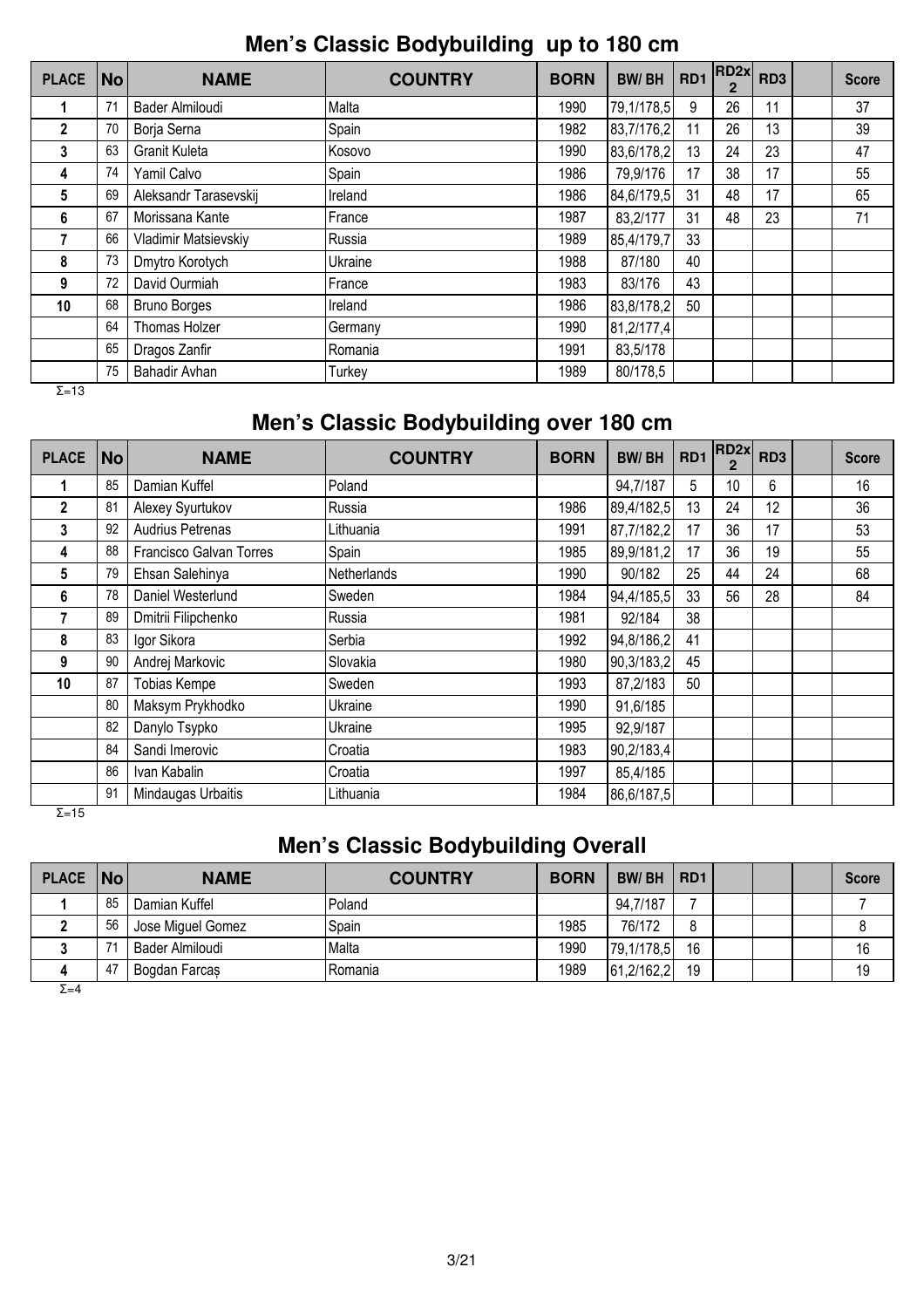**Men's Classic Bodybuilding up to 180 cm**

| <b>PLACE</b> | No | <b>NAME</b>           | <b>COUNTRY</b> | <b>BORN</b> | <b>BW/BH</b> | RD <sub>1</sub> | RD2x | RD <sub>3</sub> | <b>Score</b> |
|--------------|----|-----------------------|----------------|-------------|--------------|-----------------|------|-----------------|--------------|
|              | 71 | Bader Almiloudi       | Malta          | 1990        | 79,1/178,5   | 9               | 26   | 11              | 37           |
| $\mathbf 2$  | 70 | Borja Serna           | Spain          | 1982        | 83,7/176,2   | 11              | 26   | 13              | 39           |
| 3            | 63 | Granit Kuleta         | Kosovo         | 1990        | 83,6/178,2   | 13              | 24   | 23              | 47           |
| 4            | 74 | Yamil Calvo           | Spain          | 1986        | 79,9/176     | 17              | 38   | 17              | 55           |
| 5            | 69 | Aleksandr Tarasevskij | Ireland        | 1986        | 84,6/179,5   | 31              | 48   | 17              | 65           |
| 6            | 67 | Morissana Kante       | France         | 1987        | 83,2/177     | 31              | 48   | 23              | 71           |
| 7            | 66 | Vladimir Matsievskiy  | Russia         | 1989        | 85,4/179,7   | 33              |      |                 |              |
| 8            | 73 | Dmytro Korotych       | Ukraine        | 1988        | 87/180       | 40              |      |                 |              |
| 9            | 72 | David Ourmiah         | France         | 1983        | 83/176       | 43              |      |                 |              |
| 10           | 68 | <b>Bruno Borges</b>   | Ireland        | 1986        | 83,8/178,2   | 50              |      |                 |              |
|              | 64 | Thomas Holzer         | Germany        | 1990        | 81,2/177,4   |                 |      |                 |              |
|              | 65 | Dragos Zanfir         | Romania        | 1991        | 83,5/178     |                 |      |                 |              |
|              | 75 | Bahadir Avhan         | Turkey         | 1989        | 80/178.5     |                 |      |                 |              |

 $\overline{Σ}$ =13

## **Men's Classic Bodybuilding over 180 cm**

| <b>PLACE</b> | No | <b>NAME</b>                    | <b>COUNTRY</b> | <b>BORN</b> | <b>BW/BH</b> | RD1 | RD <sub>2x</sub> | RD <sub>3</sub> | <b>Score</b> |
|--------------|----|--------------------------------|----------------|-------------|--------------|-----|------------------|-----------------|--------------|
| 1            | 85 | Damian Kuffel                  | Poland         |             | 94,7/187     | 5   | 10               | 6               | 16           |
| $\mathbf{2}$ | 81 | Alexey Syurtukov               | Russia         | 1986        | 89,4/182,5   | 13  | 24               | 12              | 36           |
| 3            | 92 | Audrius Petrenas               | Lithuania      | 1991        | 87,7/182,2   | 17  | 36               | 17              | 53           |
| 4            | 88 | <b>Francisco Galvan Torres</b> | Spain          | 1985        | 89,9/181,2   | 17  | 36               | 19              | 55           |
| 5            | 79 | Ehsan Salehinya                | Netherlands    | 1990        | 90/182       | 25  | 44               | 24              | 68           |
| 6            | 78 | Daniel Westerlund              | Sweden         | 1984        | 94,4/185,5   | 33  | 56               | 28              | 84           |
|              | 89 | Dmitrii Filipchenko            | Russia         | 1981        | 92/184       | 38  |                  |                 |              |
| 8            | 83 | Igor Sikora                    | Serbia         | 1992        | 94,8/186,2   | 41  |                  |                 |              |
| 9            | 90 | Andrej Markovic                | Slovakia       | 1980        | 90,3/183,2   | 45  |                  |                 |              |
| 10           | 87 | <b>Tobias Kempe</b>            | Sweden         | 1993        | 87,2/183     | 50  |                  |                 |              |
|              | 80 | Maksym Prykhodko               | Ukraine        | 1990        | 91,6/185     |     |                  |                 |              |
|              | 82 | Danylo Tsypko                  | Ukraine        | 1995        | 92,9/187     |     |                  |                 |              |
|              | 84 | Sandi Imerovic                 | Croatia        | 1983        | 90,2/183,4   |     |                  |                 |              |
|              | 86 | Ivan Kabalin                   | Croatia        | 1997        | 85,4/185     |     |                  |                 |              |
|              | 91 | Mindaugas Urbaitis             | Lithuania      | 1984        | 86,6/187,5   |     |                  |                 |              |

 $\overline{Σ}$ =15

## **Men's Classic Bodybuilding Overall**

| PLACE   No |      | <b>NAME</b>       | <b>COUNTRY</b> | <b>BORN</b> | <b>BW/BH</b> | RD <sub>1</sub> |  | <b>Score</b> |
|------------|------|-------------------|----------------|-------------|--------------|-----------------|--|--------------|
|            | 85   | Damian Kuffel     | Poland         |             | 94,7/187     |                 |  |              |
|            | 56   | Jose Miguel Gomez | Spain          | 1985        | 76/172       |                 |  |              |
|            | 7'   | Bader Almiloudi   | Malta          | 1990        | 79,1/178,5   | 16              |  | 16           |
|            | - 47 | Bogdan Farcas     | IRomania       | 1989        | 61,2/162,2   | 19              |  | 19           |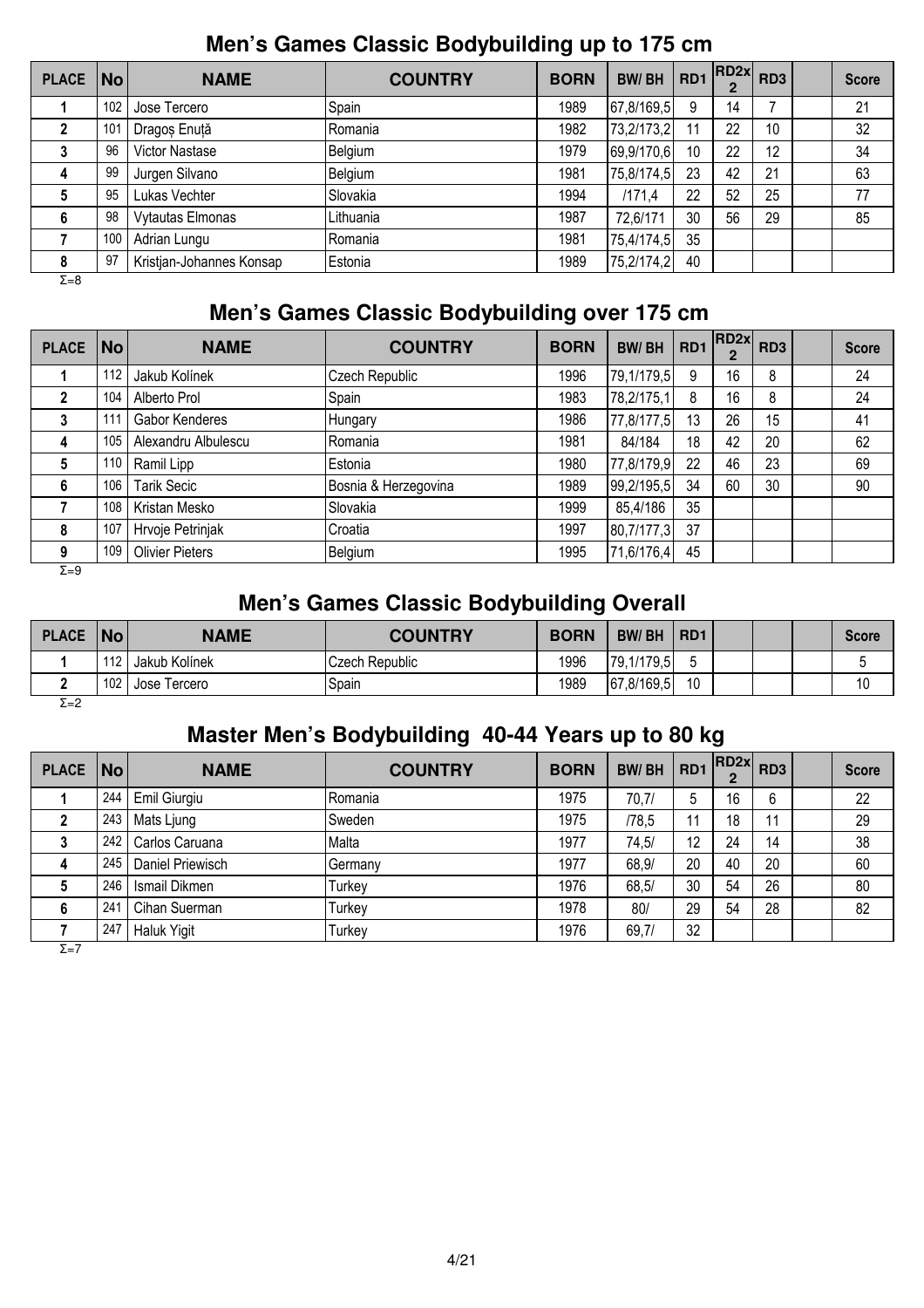#### **Men's Games Classic Bodybuilding up to 175 cm**

| <b>PLACE</b> | <b>No</b> | <b>NAME</b>              | <b>COUNTRY</b> | <b>BORN</b> | <b>BW/BH</b> | RD <sub>1</sub> | RD2x | RD <sub>3</sub> | <b>Score</b> |
|--------------|-----------|--------------------------|----------------|-------------|--------------|-----------------|------|-----------------|--------------|
|              | 102       | Jose Tercero             | Spain          | 1989        | 67,8/169,5   | 9               | 14   |                 | 21           |
|              | 101       | Dragoș Enuță             | Romania        | 1982        | 73,2/173,2   | 11              | 22   | 10              | 32           |
| 3            | 96        | <b>Victor Nastase</b>    | Belgium        | 1979        | 69,9/170,6   | 10              | 22   | 12              | 34           |
| 4            | 99        | Jurgen Silvano           | Belgium        | 1981        | 75,8/174,5   | 23              | 42   | 21              | 63           |
| 5            | 95        | Lukas Vechter            | Slovakia       | 1994        | /171.4       | 22              | 52   | 25              | 77           |
| 6            | 98        | Vytautas Elmonas         | Lithuania      | 1987        | 72,6/171     | 30              | 56   | 29              | 85           |
|              | 100       | Adrian Lungu             | Romania        | 1981        | 75,4/174,5   | 35              |      |                 |              |
| 8            | 97        | Kristjan-Johannes Konsap | Estonia        | 1989        | 75,2/174,2   | 40              |      |                 |              |
| $\Sigma = 8$ |           |                          |                |             |              |                 |      |                 |              |

#### **Men's Games Classic Bodybuilding over 175 cm**

| <b>PLACE</b> | No  | <b>NAME</b>            | <b>COUNTRY</b>       | <b>BORN</b> | <b>BW/BH</b> | RD <sub>1</sub> | RD2x | RD <sub>3</sub> | <b>Score</b> |
|--------------|-----|------------------------|----------------------|-------------|--------------|-----------------|------|-----------------|--------------|
|              | 112 | Jakub Kolínek          | Czech Republic       | 1996        | 79,1/179,5   | 9               | 16   | 8               | 24           |
|              | 104 | Alberto Prol           | Spain                | 1983        | 78,2/175,1   | 8               | 16   | 8               | 24           |
| 3            | 111 | Gabor Kenderes         | <b>Hungary</b>       | 1986        | 77,8/177,5   | 13              | 26   | 15              | 41           |
| 4            | 105 | Alexandru Albulescu    | Romania              | 1981        | 84/184       | 18              | 42   | 20              | 62           |
| 5            | 110 | Ramil Lipp             | Estonia              | 1980        | 77,8/179,9   | 22              | 46   | 23              | 69           |
| 6            | 106 | <b>Tarik Secic</b>     | Bosnia & Herzegovina | 1989        | 99,2/195,5   | 34              | 60   | 30              | 90           |
|              | 108 | Kristan Mesko          | Slovakia             | 1999        | 85,4/186     | 35              |      |                 |              |
| 8            | 107 | Hrvoje Petrinjak       | Croatia              | 1997        | 80,7/177,3   | 37              |      |                 |              |
| 9            | 109 | <b>Olivier Pieters</b> | Belgium              | 1995        | 71,6/176,4   | 45              |      |                 |              |
| $\Sigma = 9$ |     |                        |                      |             |              |                 |      |                 |              |

## **Men's Games Classic Bodybuilding Overall**

| <b>PLACE</b> | No  | <b>NAME</b>   | <b>COUNTRY</b>        | <b>BORN</b> | <b>BW/BH</b> | R <sub>D</sub> 1 |  | <b>Score</b> |
|--------------|-----|---------------|-----------------------|-------------|--------------|------------------|--|--------------|
|              | 112 | Jakub Kolínek | <b>Czech Republic</b> | 1996        | 79,1/179,5   | -                |  |              |
|              | 102 | Jose Tercero  | Spain                 | 1989        | [67,8/169,5] | 10               |  | 10           |
| $\Sigma = 2$ |     |               |                       |             |              |                  |  |              |

#### **Master Men's Bodybuilding 40-44 Years up to 80 kg**

| PLACE   No |     | <b>NAME</b>        | <b>COUNTRY</b> | <b>BORN</b> | <b>BW/BH</b> | RD <sub>1</sub> | $RD2x$ RD3 |    | <b>Score</b> |
|------------|-----|--------------------|----------------|-------------|--------------|-----------------|------------|----|--------------|
|            | 244 | Emil Giurgiu       | l Romania      | 1975        | 70,7/        | 5               | 16         | 6  | 22           |
| 2          | 243 | Mats Ljung         | lSweden.       | 1975        | /78,5        | 11              | 18         | 11 | 29           |
| 3          | 242 | Carlos Caruana     | Malta          | 1977        | 74,5/        | 12              | 24         | 14 | 38           |
| 4          | 245 | Daniel Priewisch   | Germany        | 1977        | 68,9/        | 20              | 40         | 20 | 60           |
| 5          | 246 | Ismail Dikmen      | Turkey         | 1976        | 68,5/        | 30              | 54         | 26 | 80           |
| 6          | 241 | Cihan Suerman      | Turkey         | 1978        | 80/          | 29              | 54         | 28 | 82           |
|            | 247 | <b>Haluk Yigit</b> | Turkey         | 1976        | 69,7/        | 32              |            |    |              |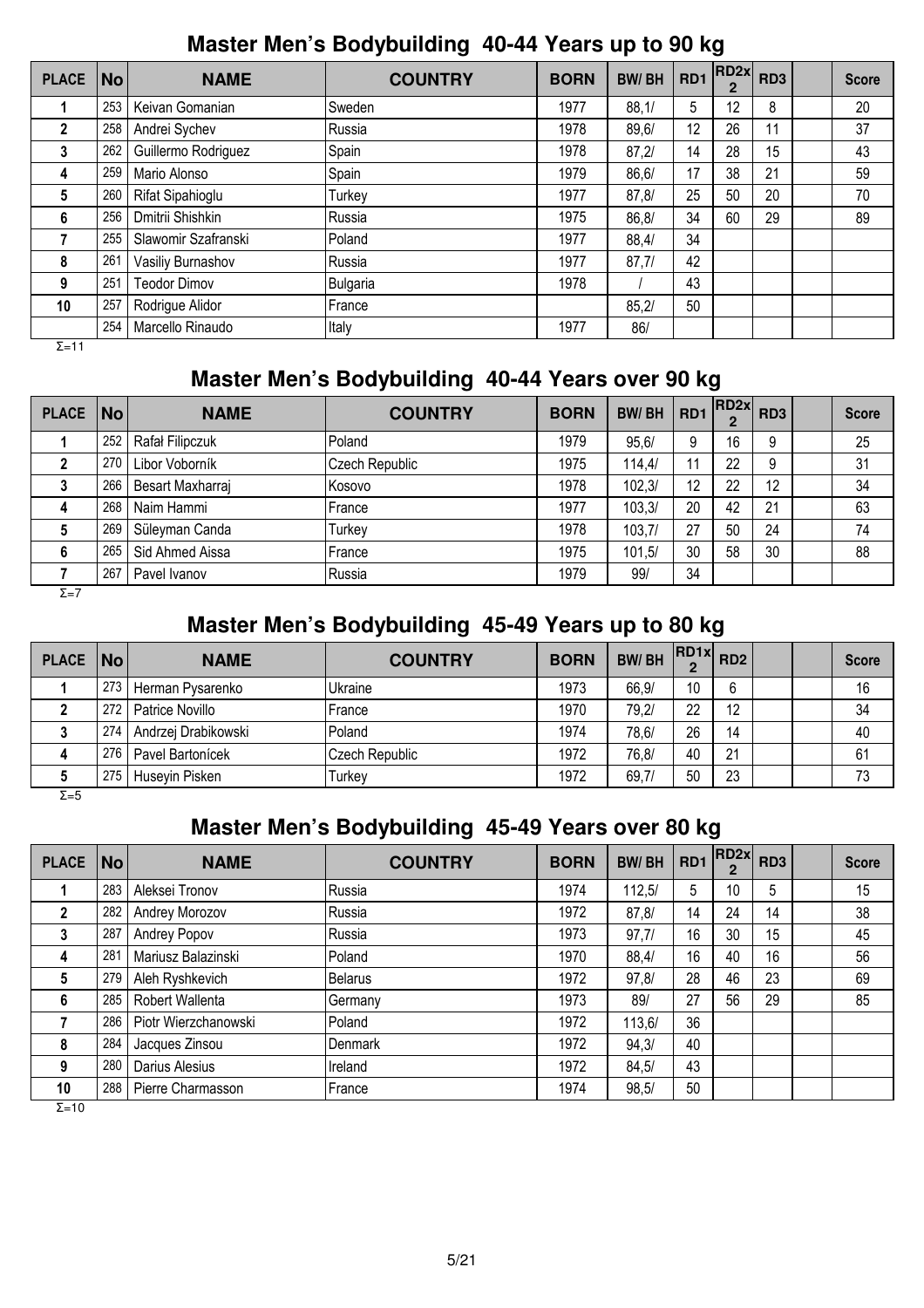#### **Master Men's Bodybuilding 40-44 Years up to 90 kg**

| <b>PLACE</b> | $\vert$ No $\vert$ | <b>NAME</b>         | <b>COUNTRY</b> | <b>BORN</b> | <b>BW/BH</b> | RD1 | RD2x <br>$\overline{2}$ | RD <sub>3</sub> | <b>Score</b> |
|--------------|--------------------|---------------------|----------------|-------------|--------------|-----|-------------------------|-----------------|--------------|
|              | 253                | Keivan Gomanian     | Sweden         | 1977        | 88,1/        | 5   | 12                      | 8               | 20           |
| $\mathbf 2$  | 258                | Andrei Sychev       | Russia         | 1978        | 89, 6/       | 12  | 26                      | 11              | 37           |
| 3            | 262                | Guillermo Rodriguez | Spain          | 1978        | 87,2/        | 14  | 28                      | 15              | 43           |
| 4            | 259                | Mario Alonso        | Spain          | 1979        | 86, 6/       | 17  | 38                      | 21              | 59           |
| 5            | 260                | Rifat Sipahioglu    | Turkey         | 1977        | 87.8/        | 25  | 50                      | 20              | 70           |
| 6            | 256                | Dmitrii Shishkin    | Russia         | 1975        | 86,8/        | 34  | 60                      | 29              | 89           |
| 7            | 255                | Slawomir Szafranski | Poland         | 1977        | 88,4/        | 34  |                         |                 |              |
| 8            | 261                | Vasiliy Burnashov   | Russia         | 1977        | 87,7/        | 42  |                         |                 |              |
| 9            | 251                | <b>Teodor Dimov</b> | Bulgaria       | 1978        |              | 43  |                         |                 |              |
| 10           | 257                | Rodrigue Alidor     | France         |             | 85.2/        | 50  |                         |                 |              |
|              | 254                | Marcello Rinaudo    | Italy          | 1977        | 86/          |     |                         |                 |              |

Σ=11

## **Master Men's Bodybuilding 40-44 Years over 90 kg**

| <b>PLACE</b> | $\overline{\mathsf{No}}$ | <b>NAME</b>      | <b>COUNTRY</b> | <b>BORN</b> | <b>BW/BH</b> | RD <sub>1</sub> | RD2x | RD <sub>3</sub> | <b>Score</b> |
|--------------|--------------------------|------------------|----------------|-------------|--------------|-----------------|------|-----------------|--------------|
|              | 252                      | Rafał Filipczuk  | Poland         | 1979        | 95,6/        | 9               | 16   | 9               | 25           |
|              | 270                      | Libor Voborník   | Czech Republic | 1975        | 114.4/       | 11              | 22   | 9               | 31           |
|              | 266                      | Besart Maxharraj | Kosovo         | 1978        | 102.3/       | 12              | 22   | 12              | 34           |
| 4            | 268                      | Naim Hammi       | France         | 1977        | 103.3/       | 20              | 42   | 21              | 63           |
|              | 269                      | Süleyman Canda   | Turkey         | 1978        | 103,7/       | 27              | 50   | 24              | 74           |
| 6            | 265                      | Sid Ahmed Aissa  | France         | 1975        | 101.5/       | 30              | 58   | 30              | 88           |
|              | 267                      | Pavel Ivanov     | Russia         | 1979        | 99/          | 34              |      |                 |              |

 $Σ=7$ 

## **Master Men's Bodybuilding 45-49 Years up to 80 kg**

| PLACE   No   |     | <b>NAME</b>         | <b>COUNTRY</b> | <b>BORN</b> | <b>BW/BH</b> | $R$ D1x $R$ D2<br>ŋ |    |  | <b>Score</b> |
|--------------|-----|---------------------|----------------|-------------|--------------|---------------------|----|--|--------------|
|              | 273 | Herman Pysarenko    | Ukraine        | 1973        | 66,9/        | 10 <sup>°</sup>     | 6  |  | 16           |
|              | 272 | Patrice Novillo     | France         | 1970        | 79,2/        | 22                  | 12 |  | 34           |
|              | 274 | Andrzej Drabikowski | Poland         | 1974        | 78,6/        | 26                  | 14 |  | 40           |
| 4            | 276 | Pavel Bartonícek    | Czech Republic | 1972        | 76,8/        | 40                  | 21 |  | 61           |
| 5            | 275 | Huseyin Pisken      | Turkev         | 1972        | 69,7/        | 50                  | 23 |  | 73           |
| $\Sigma = 5$ |     |                     |                |             |              |                     |    |  |              |

## **Master Men's Bodybuilding 45-49 Years over 80 kg**

| <b>PLACE</b> | No l | <b>NAME</b>          | <b>COUNTRY</b> | <b>BORN</b> | <b>BW/BH</b> | RD1 | RD2x | RD <sub>3</sub> | <b>Score</b> |
|--------------|------|----------------------|----------------|-------------|--------------|-----|------|-----------------|--------------|
|              | 283  | Aleksei Tronov       | Russia         | 1974        | 112.5/       | 5   | 10   | 5               | 15           |
| 2            | 282  | Andrey Morozov       | Russia         | 1972        | 87,8/        | 14  | 24   | 14              | 38           |
| 3            | 287  | Andrey Popov         | Russia         | 1973        | 97,7/        | 16  | 30   | 15              | 45           |
| 4            | 281  | Mariusz Balazinski   | Poland         | 1970        | 88,4/        | 16  | 40   | 16              | 56           |
| 5            | 279  | Aleh Ryshkevich      | <b>Belarus</b> | 1972        | 97,8/        | 28  | 46   | 23              | 69           |
| 6            | 285  | Robert Wallenta      | Germany        | 1973        | 89/          | 27  | 56   | 29              | 85           |
|              | 286  | Piotr Wierzchanowski | Poland         | 1972        | 113,6/       | 36  |      |                 |              |
| 8            | 284  | Jacques Zinsou       | Denmark        | 1972        | 94,3/        | 40  |      |                 |              |
| 9            | 280  | Darius Alesius       | Ireland        | 1972        | 84,5/        | 43  |      |                 |              |
| 10           | 288  | Pierre Charmasson    | France         | 1974        | 98.5/        | 50  |      |                 |              |

 $\overline{Σ=10}$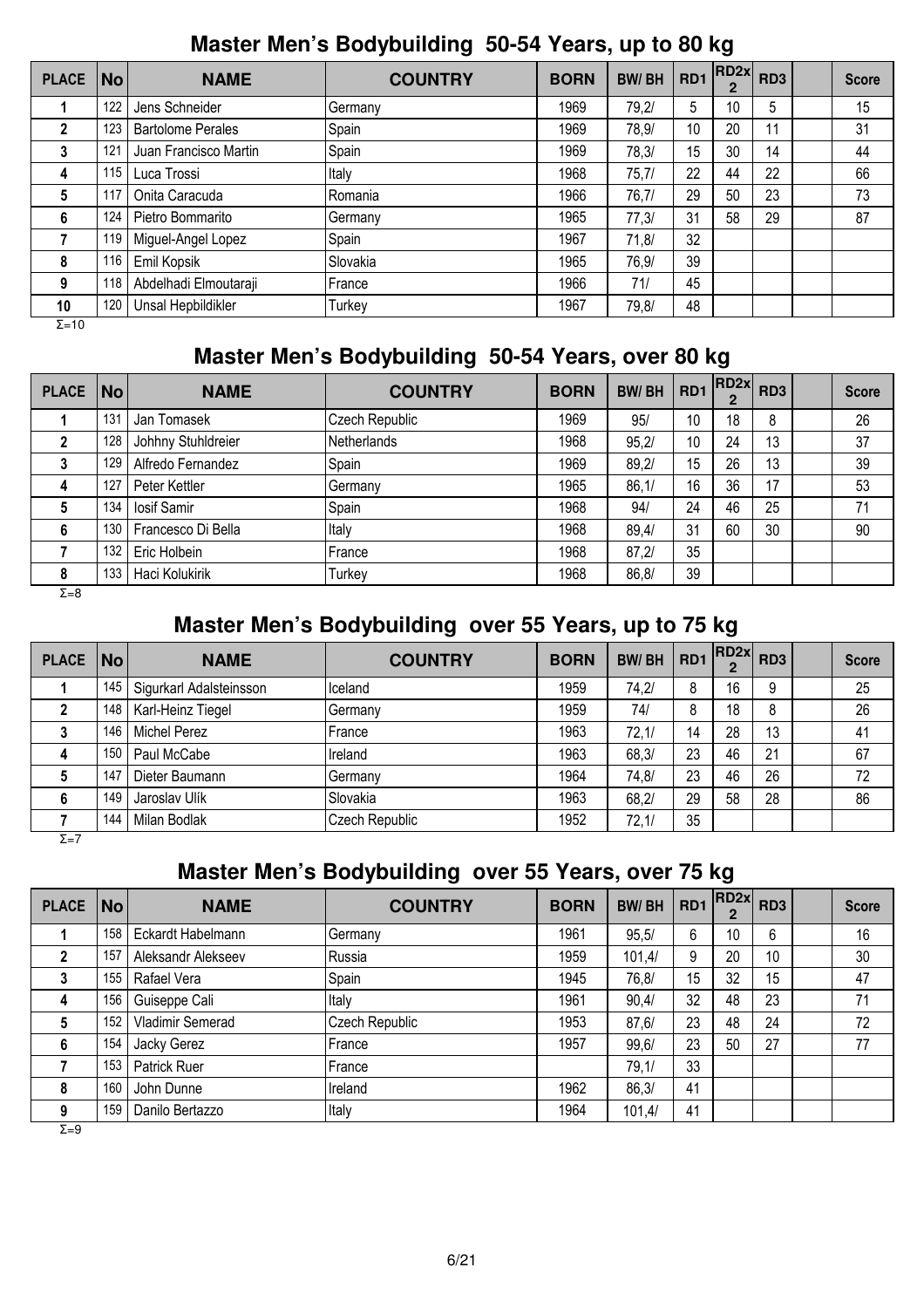## **Master Men's Bodybuilding 50-54 Years, up to 80 kg**

| <b>PLACE</b>  | No  | <b>NAME</b>              | <b>COUNTRY</b> | <b>BORN</b> | <b>BW/BH</b> | RD <sub>1</sub> | RD2x | RD <sub>3</sub> | <b>Score</b> |
|---------------|-----|--------------------------|----------------|-------------|--------------|-----------------|------|-----------------|--------------|
|               | 122 | Jens Schneider           | Germany        | 1969        | 79,2/        | 5               | 10   | 5               | 15           |
| 2             | 123 | <b>Bartolome Perales</b> | Spain          | 1969        | 78,9/        | 10 <sup>°</sup> | 20   | 11              | 31           |
| 3             | 121 | Juan Francisco Martin    | Spain          | 1969        | 78,3/        | 15              | 30   | 14              | 44           |
| 4             | 115 | Luca Trossi              | Italy          | 1968        | 75,7/        | 22              | 44   | 22              | 66           |
| 5             | 117 | Onita Caracuda           | Romania        | 1966        | 76,7/        | 29              | 50   | 23              | 73           |
| 6             | 124 | Pietro Bommarito         | Germany        | 1965        | 77,3/        | 31              | 58   | 29              | 87           |
|               | 119 | Miguel-Angel Lopez       | Spain          | 1967        | 71,8/        | 32              |      |                 |              |
| 8             | 116 | Emil Kopsik              | Slovakia       | 1965        | 76,9/        | 39              |      |                 |              |
| 9             | 118 | Abdelhadi Elmoutaraji    | France         | 1966        | 71/          | 45              |      |                 |              |
| 10            | 120 | Unsal Hepbildikler       | Turkey         | 1967        | 79,8/        | 48              |      |                 |              |
| $\Sigma = 10$ |     |                          |                |             |              |                 |      |                 |              |

## **Master Men's Bodybuilding 50-54 Years, over 80 kg**

| <b>PLACE</b> | No  | <b>NAME</b>        | <b>COUNTRY</b>     | <b>BORN</b> | <b>BW/BH</b> | RD1 | RD2x <br>$\mathbf{2}$ | RD <sub>3</sub> | <b>Score</b> |
|--------------|-----|--------------------|--------------------|-------------|--------------|-----|-----------------------|-----------------|--------------|
|              | 131 | Jan Tomasek        | Czech Republic     | 1969        | 95/          | 10  | 18                    | 8               | 26           |
|              | 128 | Johhny Stuhldreier | <b>Netherlands</b> | 1968        | 95,2/        | 10  | 24                    | 13              | 37           |
|              | 129 | Alfredo Fernandez  | Spain              | 1969        | 89,2/        | 15  | 26                    | 13              | 39           |
|              | 127 | Peter Kettler      | Germany            | 1965        | 86,1/        | 16  | 36                    | 17              | 53           |
|              | 134 | losif Samir        | Spain              | 1968        | 94/          | 24  | 46                    | 25              | 71           |
| 6            | 130 | Francesco Di Bella | Italy              | 1968        | 89,4/        | 31  | 60                    | 30              | 90           |
|              | 132 | Eric Holbein       | France             | 1968        | 87,2/        | 35  |                       |                 |              |
| 8            | 133 | Haci Kolukirik     | Turkey             | 1968        | 86,8/        | 39  |                       |                 |              |
| $\Sigma = 8$ |     |                    |                    |             |              |     |                       |                 |              |

# **Master Men's Bodybuilding over 55 Years, up to 75 kg**

| <b>PLACE</b> | No  | <b>NAME</b>             | <b>COUNTRY</b> | <b>BORN</b> | <b>BW/BH</b> | RD <sub>1</sub> | $  RD2x $ $RD3$ |    | <b>Score</b> |
|--------------|-----|-------------------------|----------------|-------------|--------------|-----------------|-----------------|----|--------------|
|              | 145 | Sigurkarl Adalsteinsson | Iceland        | 1959        | 74.2/        | 8               | 16              | 9  | 25           |
|              | 148 | Karl-Heinz Tiegel       | Germany        | 1959        | 74/          | 8               | 18              | 8  | 26           |
|              | 146 | <b>Michel Perez</b>     | France         | 1963        | 72,1/        | 14              | 28              | 13 | 41           |
| 4            | 150 | Paul McCabe             | Ireland        | 1963        | 68,3/        | 23              | 46              | 21 | 67           |
|              | 147 | Dieter Baumann          | Germany        | 1964        | 74,8/        | 23              | 46              | 26 | 72           |
| 6            | 149 | Jaroslav Ulík           | Slovakia       | 1963        | 68,2/        | 29              | 58              | 28 | 86           |
|              | 144 | Milan Bodlak            | Czech Republic | 1952        | 72,1/        | 35              |                 |    |              |

 $\overline{Σ=7}$ 

## **Master Men's Bodybuilding over 55 Years, over 75 kg**

| <b>PLACE</b> | $\overline{\mathsf{No}}$ | <b>NAME</b>        | <b>COUNTRY</b> | <b>BORN</b> | <b>BW/BH</b> | RD1 | RD2x | RD <sub>3</sub> | <b>Score</b> |
|--------------|--------------------------|--------------------|----------------|-------------|--------------|-----|------|-----------------|--------------|
|              | 158                      | Eckardt Habelmann  | Germany        | 1961        | 95.5/        | 6   | 10   | 6               | 16           |
|              | 157                      | Aleksandr Alekseev | lRussia        | 1959        | 101,4/       | 9   | 20   | 10              | 30           |
|              | 155                      | Rafael Vera        | Spain          | 1945        | 76,8/        | 15  | 32   | 15              | 47           |
| 4            | 156                      | Guiseppe Cali      | Italy          | 1961        | 90,4/        | 32  | 48   | 23              | 71           |
| 5            | 152                      | Vladimir Semerad   | Czech Republic | 1953        | 87, 6/       | 23  | 48   | 24              | 72           |
| 6            | 154                      | Jacky Gerez        | France         | 1957        | 99,6/        | 23  | 50   | 27              | 77           |
|              | 153                      | Patrick Ruer       | France         |             | 79,1/        | 33  |      |                 |              |
| 8            | 160                      | John Dunne         | Ireland        | 1962        | 86,3/        | 41  |      |                 |              |
| 9            | 159                      | Danilo Bertazzo    | Italy          | 1964        | 101,4/       | 41  |      |                 |              |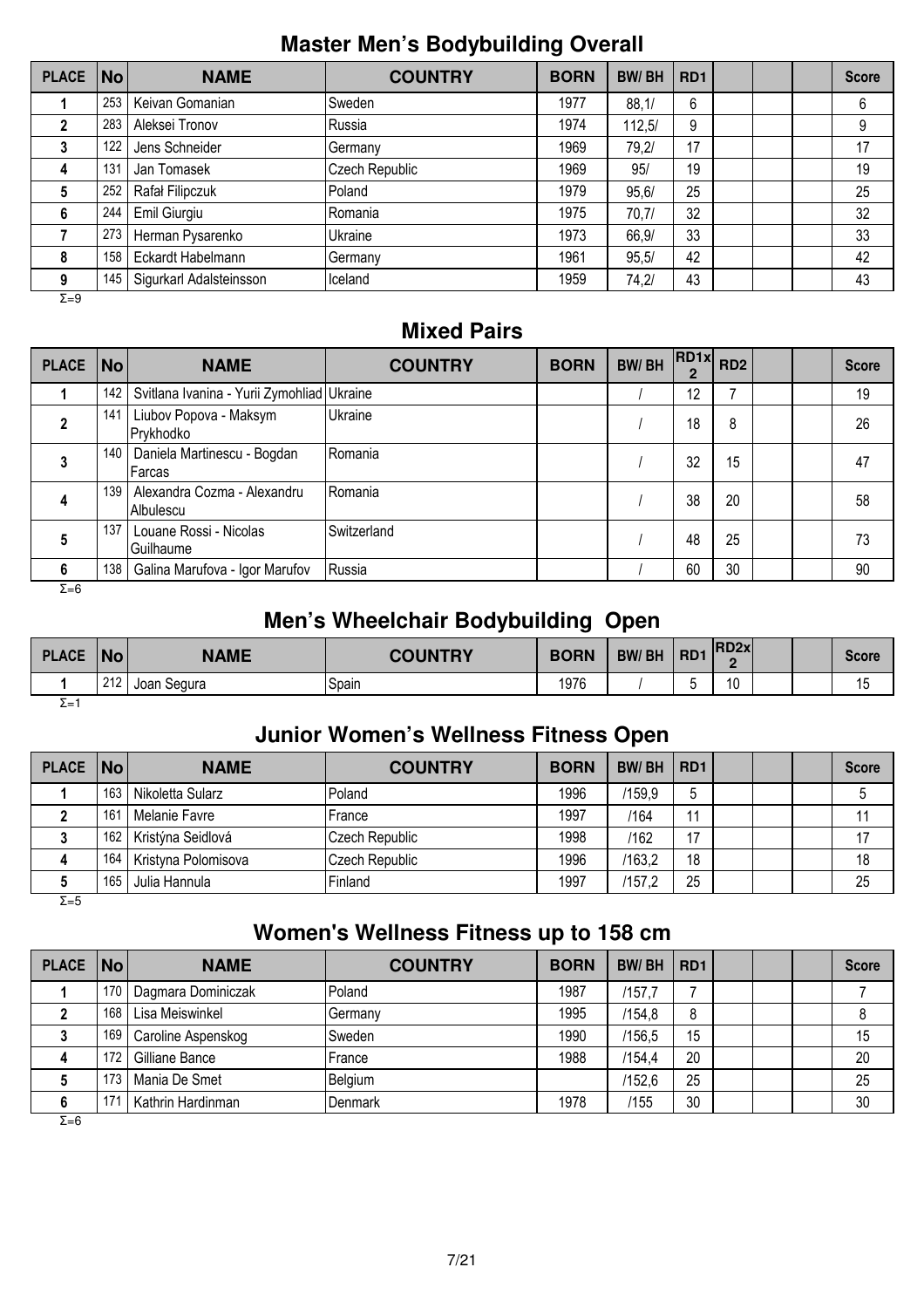#### **Master Men's Bodybuilding Overall**

| <b>PLACE</b> | No  | <b>NAME</b>             | <b>COUNTRY</b> | <b>BORN</b> | <b>BW/BH</b> | RD <sub>1</sub> |  | <b>Score</b> |
|--------------|-----|-------------------------|----------------|-------------|--------------|-----------------|--|--------------|
|              | 253 | Keivan Gomanian         | Sweden         | 1977        | 88,1/        | 6               |  | 6            |
|              | 283 | Aleksei Tronov          | Russia         | 1974        | 112,5/       | 9               |  | 9            |
| 3            | 122 | Jens Schneider          | Germany        | 1969        | 79,2/        | 17              |  | 17           |
| 4            | 131 | Jan Tomasek             | Czech Republic | 1969        | 95/          | 19              |  | 19           |
| 5            | 252 | Rafał Filipczuk         | Poland         | 1979        | 95.6/        | 25              |  | 25           |
| 6            | 244 | Emil Giurgiu            | Romania        | 1975        | 70,7/        | 32              |  | 32           |
|              | 273 | Herman Pysarenko        | Ukraine        | 1973        | 66,9/        | 33              |  | 33           |
| 8            | 158 | Eckardt Habelmann       | Germany        | 1961        | 95,5/        | 42              |  | 42           |
| 9            | 145 | Sigurkarl Adalsteinsson | Iceland        | 1959        | 74,2/        | 43              |  | 43           |

Σ=9

#### **Mixed Pairs**

| <b>PLACE</b> | $\vert$ No $\vert$ | <b>NAME</b>                                           | <b>COUNTRY</b>   | <b>BORN</b> | <b>BW/BH</b> | $R$ D1x $R$ D2 |    |  | <b>Score</b> |
|--------------|--------------------|-------------------------------------------------------|------------------|-------------|--------------|----------------|----|--|--------------|
|              | 142                | Svitlana Ivanina - Yurii Zymohliad Ukraine            |                  |             |              | 12             |    |  | 19           |
|              | 141                | Liubov Popova - Maksym<br>Prykhodko                   | Ukraine          |             |              | 18             | 8  |  | 26           |
|              |                    | 140   Daniela Martinescu - Bogdan<br>Farcas           | Romania          |             |              | 32             | 15 |  | 47           |
| 4            |                    | 139   Alexandra Cozma - Alexandru<br><b>Albulescu</b> | <b>I</b> Romania |             |              | 38             | 20 |  | 58           |
| 5            | 137                | Louane Rossi - Nicolas<br>Guilhaume                   | Switzerland      |             |              | 48             | 25 |  | 73           |
| 6            | 138                | Galina Marufova - Igor Marufov                        | Russia           |             |              | 60             | 30 |  | 90           |

 $Σ=6$ 

## **Men's Wheelchair Bodybuilding Open**

| <b>PLACE</b> | No  | <b>NAME</b> | <b>COUNTRY</b> | <b>BORN</b> | <b>BW/BH</b> | R <sub>D</sub> 1 | <b>RD2x</b><br>C    |  | <b>Score</b>         |
|--------------|-----|-------------|----------------|-------------|--------------|------------------|---------------------|--|----------------------|
|              | 212 | Joan Segura | Spain          | 1976        |              |                  | $\overline{A}$<br>ν |  | $\overline{A}$<br>15 |
| չ⊨՝          |     |             |                |             |              |                  |                     |  |                      |

## **Junior Women's Wellness Fitness Open**

| PLACE   No |     | <b>NAME</b>         | <b>COUNTRY</b> | <b>BORN</b> | <b>BW/BH</b> | RD <sub>1</sub> |  | <b>Score</b> |
|------------|-----|---------------------|----------------|-------------|--------------|-----------------|--|--------------|
|            | 163 | Nikoletta Sularz    | Poland         | 1996        | /159,9       |                 |  |              |
|            | 161 | Melanie Favre       | France         | 1997        | /164         | 11              |  |              |
|            | 162 | Kristýna Seidlová   | Czech Republic | 1998        | /162         | 17              |  |              |
| 4          | 164 | Kristyna Polomisova | Czech Republic | 1996        | /163.2       | 18              |  | 18           |
|            | 165 | Julia Hannula       | Finland        | 1997        | /157,2       | 25              |  | 25           |

Σ=5

# **Women's Wellness Fitness up to 158 cm**

| PLACE   No |     | <b>NAME</b>        | <b>COUNTRY</b> | <b>BORN</b> | <b>BW/BH</b> | RD <sub>1</sub> |  | <b>Score</b> |
|------------|-----|--------------------|----------------|-------------|--------------|-----------------|--|--------------|
|            | 170 | Dagmara Dominiczak | Poland         | 1987        | /157,7       |                 |  |              |
|            | 168 | Lisa Meiswinkel    | IGermanv       | 1995        | /154.8       | 8               |  |              |
|            | 169 | Caroline Aspenskog | <b>Sweden</b>  | 1990        | /156.5       | 15              |  | 15           |
|            | 172 | Gilliane Bance     | France         | 1988        | /154.4       | 20              |  | 20           |
|            | 173 | Mania De Smet      | Belgium        |             | /152.6       | 25              |  | 25           |
| 6          | 171 | Kathrin Hardinman  | Denmark        | 1978        | /155         | 30              |  | 30           |

 $\overline{Σ=6}$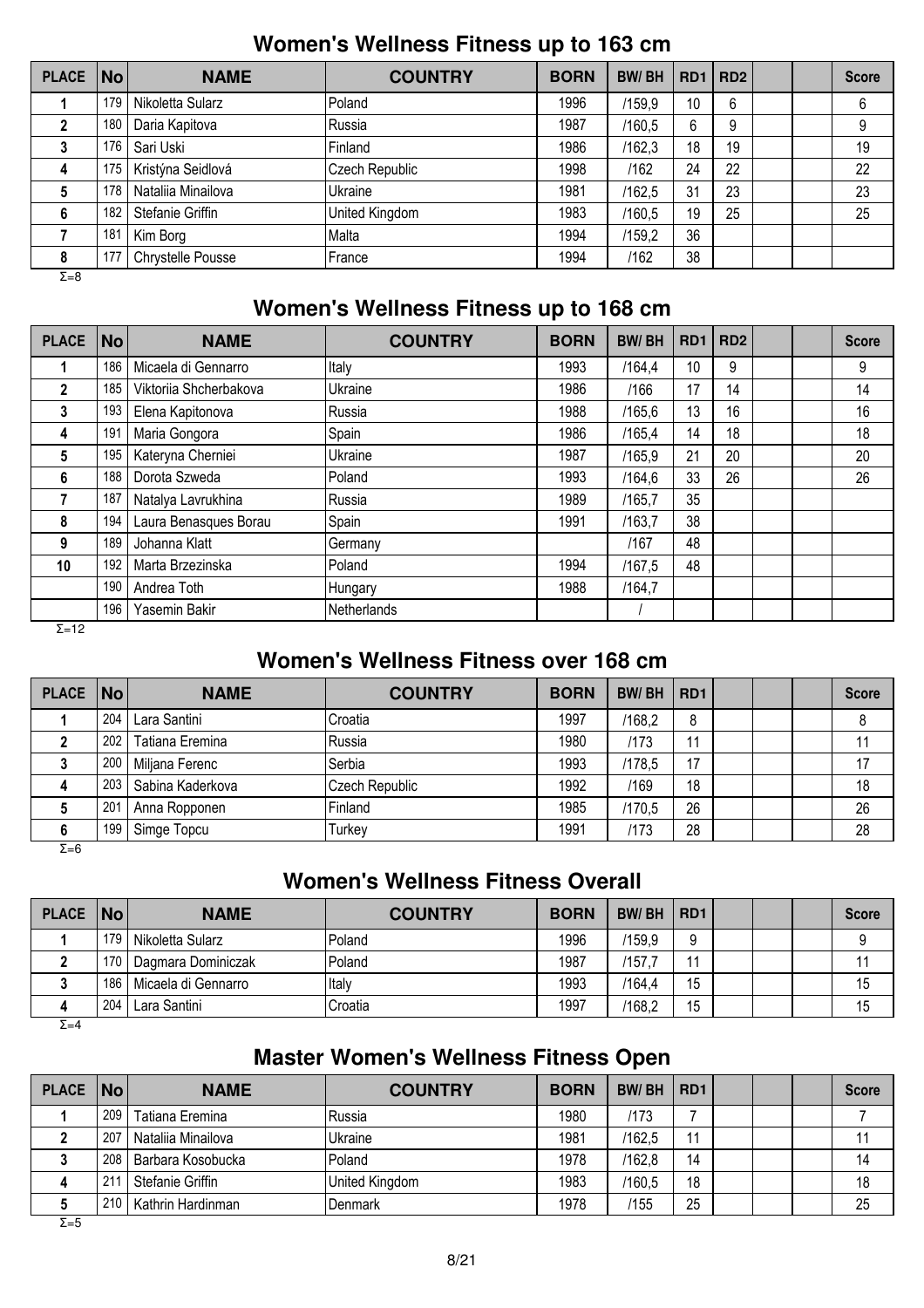#### **Women's Wellness Fitness up to 163 cm**

| <b>PLACE</b> | $\vert$ No $\vert$ | <b>NAME</b>        | <b>COUNTRY</b> | <b>BORN</b> | <b>BW/BH</b> |    | RD1   RD2 |  | <b>Score</b> |
|--------------|--------------------|--------------------|----------------|-------------|--------------|----|-----------|--|--------------|
|              | 179                | Nikoletta Sularz   | Poland         | 1996        | /159,9       | 10 | 6         |  | 6            |
|              | 180                | Daria Kapitova     | Russia         | 1987        | /160,5       | 6  | 9         |  | 9            |
|              | 176                | Sari Uski          | Finland        | 1986        | /162,3       | 18 | 19        |  | 19           |
| 4            | 175                | Kristýna Seidlová  | Czech Republic | 1998        | /162         | 24 | 22        |  | 22           |
| 5            | 178                | Nataliia Minailova | Ukraine        | 1981        | /162,5       | 31 | 23        |  | 23           |
| 6            | 182                | Stefanie Griffin   | United Kingdom | 1983        | /160,5       | 19 | 25        |  | 25           |
|              | 181                | Kim Borg           | Malta          | 1994        | /159,2       | 36 |           |  |              |
| 8            | 177                | Chrystelle Pousse  | France         | 1994        | /162         | 38 |           |  |              |
| $\Sigma = 8$ |                    |                    |                |             |              |    |           |  |              |

#### **Women's Wellness Fitness up to 168 cm**

| <b>PLACE</b> | No  | <b>NAME</b>            | <b>COUNTRY</b> | <b>BORN</b> | <b>BW/BH</b> | R <sub>D</sub> 1 | RD <sub>2</sub> |  | <b>Score</b> |
|--------------|-----|------------------------|----------------|-------------|--------------|------------------|-----------------|--|--------------|
|              | 186 | Micaela di Gennarro    | Italy          | 1993        | /164.4       | 10               | 9               |  | 9            |
| $\mathbf{2}$ | 185 | Viktoriia Shcherbakova | Ukraine        | 1986        | /166         | 17               | 14              |  | 14           |
| 3            | 193 | Elena Kapitonova       | Russia         | 1988        | /165,6       | 13               | 16              |  | 16           |
| 4            | 191 | Maria Gongora          | Spain          | 1986        | /165.4       | 14               | 18              |  | 18           |
| 5.           | 195 | Kateryna Cherniei      | Ukraine        | 1987        | /165.9       | 21               | 20              |  | 20           |
| 6            | 188 | Dorota Szweda          | Poland         | 1993        | /164.6       | 33               | 26              |  | 26           |
|              | 187 | Natalya Lavrukhina     | Russia         | 1989        | /165.7       | 35               |                 |  |              |
| 8            | 194 | Laura Benasques Borau  | Spain          | 1991        | /163.7       | 38               |                 |  |              |
| 9            | 189 | Johanna Klatt          | Germany        |             | /167         | 48               |                 |  |              |
| 10           | 192 | Marta Brzezinska       | Poland         | 1994        | /167.5       | 48               |                 |  |              |
|              | 190 | Andrea Toth            | Hungary        | 1988        | /164.7       |                  |                 |  |              |
| - . -        | 196 | Yasemin Bakir          | Netherlands    |             |              |                  |                 |  |              |

 $Σ=12$ 

## **Women's Wellness Fitness over 168 cm**

| PLACE   No   |     | <b>NAME</b>      | <b>COUNTRY</b> | <b>BORN</b> | <b>BW/BH</b> | RD <sub>1</sub> |  | <b>Score</b> |
|--------------|-----|------------------|----------------|-------------|--------------|-----------------|--|--------------|
|              | 204 | Lara Santini     | Croatia        | 1997        | /168,2       | 8               |  |              |
|              | 202 | Tatiana Eremina  | Russia         | 1980        | /173         | 44              |  |              |
|              | 200 | Miljana Ferenc   | Serbia         | 1993        | /178,5       | 17              |  | 17           |
| 4            | 203 | Sabina Kaderkova | Czech Republic | 1992        | /169         | 18              |  | 18           |
|              | 201 | Anna Ropponen    | Finland        | 1985        | /170.5       | 26              |  | 26           |
|              | 199 | Simge Topcu      | Turkey         | 1991        | 1173         | 28              |  | 28           |
| $\Sigma = 6$ |     |                  |                |             |              |                 |  |              |

#### **Women's Wellness Fitness Overall**

| PLACE No |     | <b>NAME</b>         | <b>COUNTRY</b> | <b>BORN</b> | <b>BW/BH</b> | RD <sub>1</sub> |  | <b>Score</b> |
|----------|-----|---------------------|----------------|-------------|--------------|-----------------|--|--------------|
|          | 179 | ⊦ Nikoletta Sularz  | Poland         | 1996        | /159.9       |                 |  |              |
|          | 170 | Dagmara Dominiczak  | Poland         | 1987        | /157.7       | -44             |  |              |
|          | 186 | Micaela di Gennarro | Italv          | 1993        | /164.4       | 15              |  | 15           |
|          | 204 | Lara Santini        | Croatia        | 1997        | /168,2       | 15              |  | 15           |

 $\overline{\Sigma}$ =4

#### **Master Women's Wellness Fitness Open**

| PLACE   No |     | <b>NAME</b>             | <b>COUNTRY</b> | <b>BORN</b> | <b>BW/BH</b> | RD <sub>1</sub> |  | <b>Score</b> |
|------------|-----|-------------------------|----------------|-------------|--------------|-----------------|--|--------------|
|            | 209 | Tatiana Eremina         | IRussia        | 1980        | /173         |                 |  |              |
|            | 207 | Nataliia Minailova      | Ukraine        | 1981        | /162,5       |                 |  |              |
|            | 208 | Barbara Kosobucka       | Poland         | 1978        | /162,8       | 14              |  | 14           |
| 4          | 21  | Stefanie Griffin        | United Kingdom | 1983        | /160,5       | 18              |  | 18           |
|            |     | 210   Kathrin Hardinman | <b>Denmark</b> | 1978        | /155         | 25              |  | 25           |
| $ -$       |     |                         |                |             |              |                 |  |              |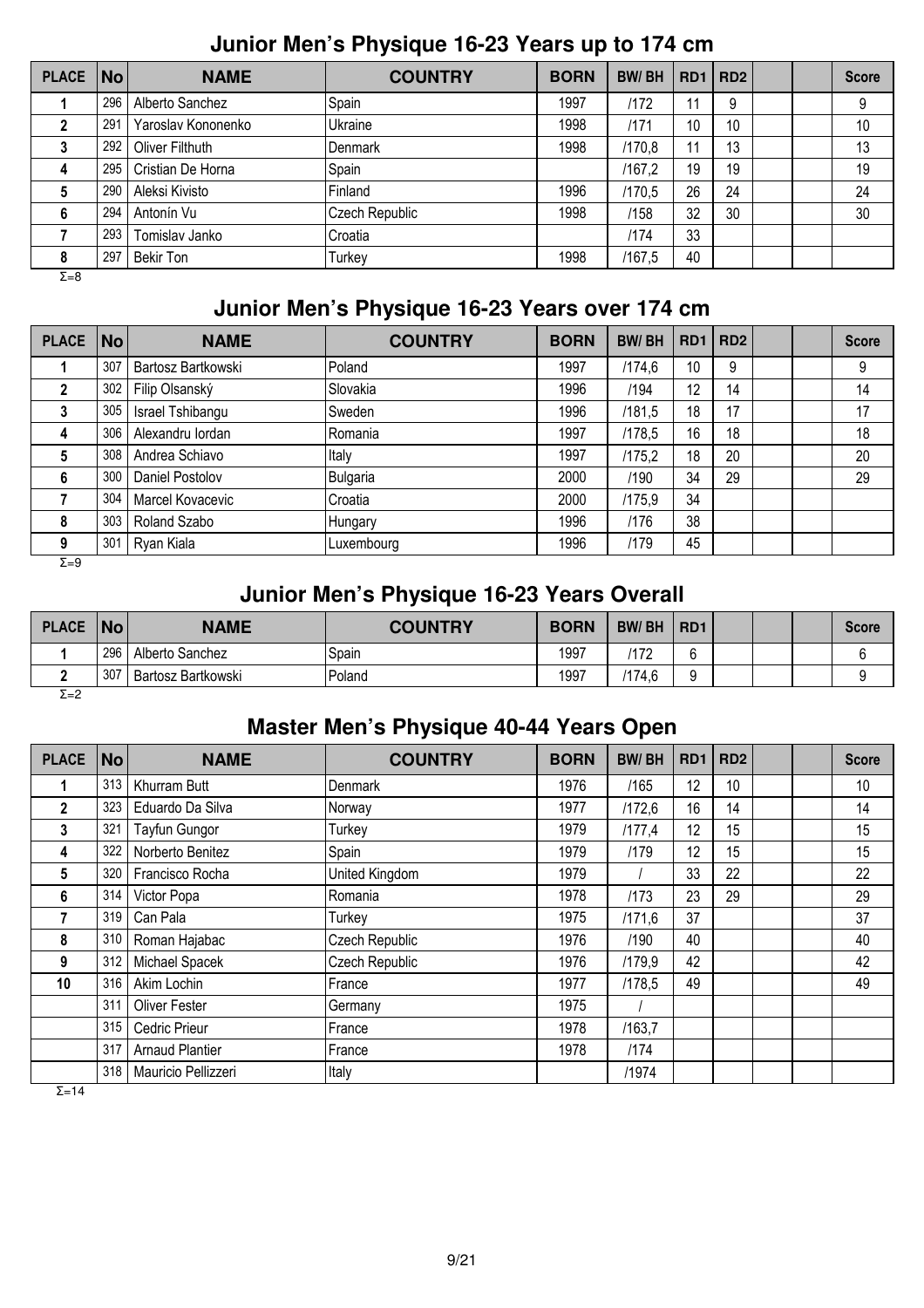## **Junior Men's Physique 16-23 Years up to 174 cm**

| <b>PLACE</b> | No  | <b>NAME</b>        | <b>COUNTRY</b> | <b>BORN</b> | <b>BW/BH</b> |    | RD1   RD2 |  | <b>Score</b> |
|--------------|-----|--------------------|----------------|-------------|--------------|----|-----------|--|--------------|
|              | 296 | Alberto Sanchez    | Spain          | 1997        | /172         | 11 | 9         |  | 9            |
|              | 291 | Yaroslav Kononenko | Ukraine        | 1998        | /171         | 10 | 10        |  | 10           |
| 3            | 292 | Oliver Filthuth    | Denmark        | 1998        | /170.8       | 11 | 13        |  | 13           |
| 4            | 295 | Cristian De Horna  | Spain          |             | /167.2       | 19 | 19        |  | 19           |
| 5            | 290 | Aleksi Kivisto     | Finland        | 1996        | /170,5       | 26 | 24        |  | 24           |
| 6            | 294 | Antonín Vu         | Czech Republic | 1998        | /158         | 32 | 30        |  | 30           |
|              | 293 | Tomislav Janko     | Croatia        |             | 1174         | 33 |           |  |              |
| 8            | 297 | <b>Bekir Ton</b>   | Turkey         | 1998        | /167,5       | 40 |           |  |              |
| $\Sigma = 8$ |     |                    |                |             |              |    |           |  |              |

## **Junior Men's Physique 16-23 Years over 174 cm**

| <b>PLACE</b> | No  | <b>NAME</b>        | <b>COUNTRY</b> | <b>BORN</b> | <b>BW/BH</b> | RD <sub>1</sub> | RD <sub>2</sub> |  | <b>Score</b> |
|--------------|-----|--------------------|----------------|-------------|--------------|-----------------|-----------------|--|--------------|
|              | 307 | Bartosz Bartkowski | Poland         | 1997        | /174,6       | 10              | 9               |  | 9            |
|              | 302 | Filip Olsanský     | Slovakia       | 1996        | /194         | 12              | 14              |  | 14           |
|              | 305 | Israel Tshibangu   | Sweden         | 1996        | /181,5       | 18              | 17              |  | 17           |
| 4            | 306 | Alexandru lordan   | Romania        | 1997        | /178,5       | 16              | 18              |  | 18           |
| 5            | 308 | Andrea Schiavo     | Italy          | 1997        | /175,2       | 18              | 20              |  | 20           |
| 6            | 300 | Daniel Postolov    | Bulgaria       | 2000        | /190         | 34              | 29              |  | 29           |
|              | 304 | Marcel Kovacevic   | Croatia        | 2000        | /175,9       | 34              |                 |  |              |
| 8            | 303 | Roland Szabo       | <b>Hungary</b> | 1996        | /176         | 38              |                 |  |              |
| 9            | 301 | Ryan Kiala         | Luxembourg     | 1996        | /179         | 45              |                 |  |              |

 $\overline{Σ=9}$ 

## **Junior Men's Physique 16-23 Years Overall**

| <b>PLACE</b> | No  | <b>NAME</b>        | <b>COUNTRY</b> | <b>BORN</b> | <b>BW/BH</b> | R <sub>D</sub> 1 |  | <b>Score</b> |
|--------------|-----|--------------------|----------------|-------------|--------------|------------------|--|--------------|
|              | 296 | Alberto Sanchez    | Spain          | 1997        | 172          | $\sim$           |  |              |
|              | 307 | Bartosz Bartkowski | Poland         | 1997        | /174,6       | ◠                |  |              |
| $ -$         |     |                    |                |             |              |                  |  |              |

#### Σ=2

#### **Master Men's Physique 40-44 Years Open**

| <b>PLACE</b> | $\vert$ No $\vert$ | <b>NAME</b>            | <b>COUNTRY</b> | <b>BORN</b> | <b>BW/BH</b> | RD <sub>1</sub> | RD <sub>2</sub> |  | <b>Score</b> |
|--------------|--------------------|------------------------|----------------|-------------|--------------|-----------------|-----------------|--|--------------|
| 1            | 313                | Khurram Butt           | Denmark        | 1976        | /165         | 12              | 10              |  | 10           |
| $\mathbf 2$  | 323                | Eduardo Da Silva       | Norway         | 1977        | /172,6       | 16              | 14              |  | 14           |
| 3            | 321                | Tayfun Gungor          | Turkey         | 1979        | /177,4       | 12              | 15              |  | 15           |
| 4            | 322                | Norberto Benitez       | Spain          | 1979        | /179         | 12              | 15              |  | 15           |
| 5            | 320                | Francisco Rocha        | United Kingdom | 1979        |              | 33              | 22              |  | 22           |
| 6            | 314                | Victor Popa            | Romania        | 1978        | /173         | 23              | 29              |  | 29           |
| 7            | 319                | Can Pala               | Turkey         | 1975        | /171,6       | 37              |                 |  | 37           |
| 8            | 310                | Roman Hajabac          | Czech Republic | 1976        | /190         | 40              |                 |  | 40           |
| 9            | 312                | Michael Spacek         | Czech Republic | 1976        | /179.9       | 42              |                 |  | 42           |
| 10           | 316                | Akim Lochin            | France         | 1977        | /178.5       | 49              |                 |  | 49           |
|              | 311                | <b>Oliver Fester</b>   | Germany        | 1975        |              |                 |                 |  |              |
|              | 315                | Cedric Prieur          | France         | 1978        | /163,7       |                 |                 |  |              |
|              | 317                | <b>Arnaud Plantier</b> | <b>France</b>  | 1978        | /174         |                 |                 |  |              |
|              | 318                | Mauricio Pellizzeri    | Italy          |             | /1974        |                 |                 |  |              |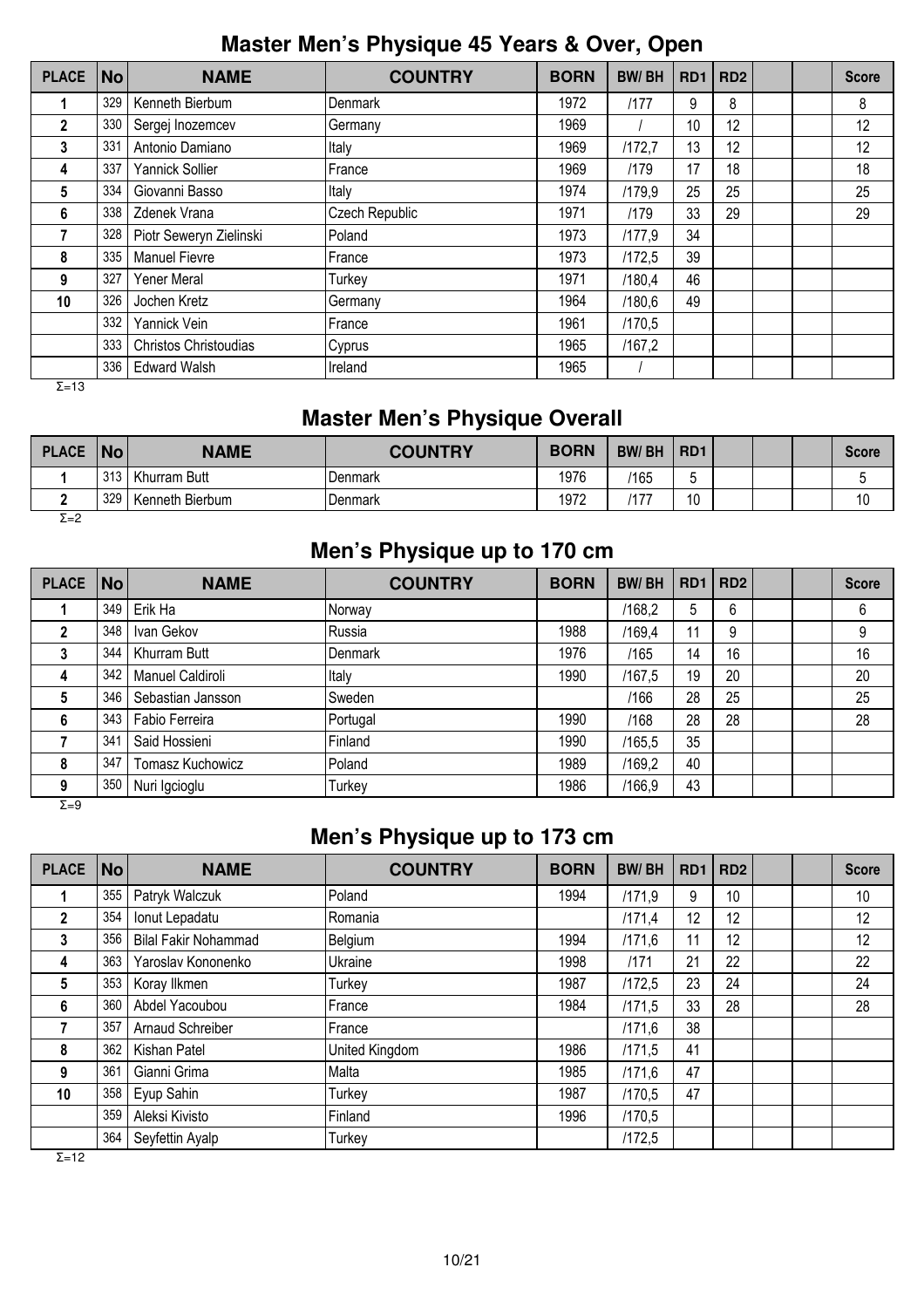## **Master Men's Physique 45 Years & Over, Open**

| <b>PLACE</b>   | <b>No</b> | <b>NAME</b>             | <b>COUNTRY</b> | <b>BORN</b> | <b>BW/BH</b> | R <sub>D</sub> <sub>1</sub> | RD <sub>2</sub> |  | <b>Score</b> |
|----------------|-----------|-------------------------|----------------|-------------|--------------|-----------------------------|-----------------|--|--------------|
|                | 329       | Kenneth Bierbum         | Denmark        | 1972        | /177         | 9                           | 8               |  | 8            |
| $\overline{2}$ | 330       | Sergej Inozemcev        | Germany        | 1969        |              | 10                          | 12              |  | 12           |
| 3              | 331       | Antonio Damiano         | Italy          | 1969        | /172.7       | 13                          | 12              |  | 12           |
| 4              | 337       | Yannick Sollier         | France         | 1969        | /179         | 17                          | 18              |  | 18           |
| 5              | 334       | Giovanni Basso          | Italy          | 1974        | /179.9       | 25                          | 25              |  | 25           |
| 6              | 338       | Zdenek Vrana            | Czech Republic | 1971        | /179         | 33                          | 29              |  | 29           |
|                | 328       | Piotr Seweryn Zielinski | Poland         | 1973        | /177.9       | 34                          |                 |  |              |
| 8              | 335       | <b>Manuel Fievre</b>    | France         | 1973        | /172,5       | 39                          |                 |  |              |
| 9              | 327       | Yener Meral             | Turkey         | 1971        | /180,4       | 46                          |                 |  |              |
| 10             | 326       | Jochen Kretz            | Germany        | 1964        | /180.6       | 49                          |                 |  |              |
|                | 332       | Yannick Vein            | France         | 1961        | /170,5       |                             |                 |  |              |
|                | 333       | Christos Christoudias   | Cyprus         | 1965        | /167,2       |                             |                 |  |              |
|                | 336       | <b>Edward Walsh</b>     | Ireland        | 1965        |              |                             |                 |  |              |

Σ=13

## **Master Men's Physique Overall**

| <b>PLACE</b>  | No  | <b>NAME</b>     | <b>COUNTRY</b> | <b>BORN</b> | <b>BW/BH</b> | R <sub>D</sub> 1 |  | Score |
|---------------|-----|-----------------|----------------|-------------|--------------|------------------|--|-------|
|               | 313 | Khurram Butt    | Denmark        | 1976        | 165          |                  |  |       |
|               | 329 | Kenneth Bierbum | Denmark        | 1972        | 477          |                  |  | 10    |
| $\sim$ $\sim$ |     |                 |                |             |              |                  |  |       |

Σ=2

## **Men's Physique up to 170 cm**

| PLACE No |                 | <b>NAME</b>             | <b>COUNTRY</b> | <b>BORN</b> | <b>BW/BH</b> | RD1 | RD <sub>2</sub> |  | <b>Score</b> |
|----------|-----------------|-------------------------|----------------|-------------|--------------|-----|-----------------|--|--------------|
|          | 349             | Erik Ha                 | Norway         |             | /168,2       | 5   | 6               |  | 6            |
|          | 348             | Ivan Gekov              | Russia         | 1988        | /169,4       | 11  | 9               |  | 9            |
| 3        | 344             | Khurram Butt            | <b>Denmark</b> | 1976        | /165         | 14  | 16              |  | 16           |
|          | 342             | Manuel Caldiroli        | Italy          | 1990        | /167.5       | 19  | 20              |  | 20           |
| 5        | 346             | Sebastian Jansson       | Sweden         |             | /166         | 28  | 25              |  | 25           |
| 6        | 343             | Fabio Ferreira          | Portugal       | 1990        | /168         | 28  | 28              |  | 28           |
|          | 34 <sup>4</sup> | Said Hossieni           | Finland        | 1990        | /165,5       | 35  |                 |  |              |
| 8        | 347             | <b>Tomasz Kuchowicz</b> | Poland         | 1989        | /169,2       | 40  |                 |  |              |
| 9        | 350             | Nuri Igcioglu           | Turkey         | 1986        | /166,9       | 43  |                 |  |              |

Σ=9

## **Men's Physique up to 173 cm**

| <b>PLACE</b>   | $\overline{\mathsf{No}}$ | <b>NAME</b>                 | <b>COUNTRY</b> | <b>BORN</b> | <b>BW/BH</b> | RD <sub>1</sub> | RD <sub>2</sub> |  | <b>Score</b> |
|----------------|--------------------------|-----------------------------|----------------|-------------|--------------|-----------------|-----------------|--|--------------|
|                | 355                      | Patryk Walczuk              | Poland         | 1994        | /171.9       | 9               | 10              |  | 10           |
| $\overline{2}$ | 354                      | Ionut Lepadatu              | Romania        |             | 1171,4       | 12              | 12              |  | 12           |
| 3              | 356                      | <b>Bilal Fakir Nohammad</b> | Belgium        | 1994        | /171,6       | 11              | 12              |  | 12           |
| 4              | 363                      | Yaroslav Kononenko          | Ukraine        | 1998        | /171         | 21              | 22              |  | 22           |
| 5              | 353                      | Koray Ilkmen                | Turkey         | 1987        | /172.5       | 23              | 24              |  | 24           |
| 6              | 360                      | Abdel Yacoubou              | France         | 1984        | /171.5       | 33              | 28              |  | 28           |
| 7              | 357                      | Arnaud Schreiber            | France         |             | /171,6       | 38              |                 |  |              |
| 8              | 362                      | Kishan Patel                | United Kingdom | 1986        | /171.5       | 41              |                 |  |              |
| 9              | 361                      | Gianni Grima                | Malta          | 1985        | /171.6       | 47              |                 |  |              |
| 10             | 358                      | Eyup Sahin                  | Turkey         | 1987        | /170.5       | 47              |                 |  |              |
|                | 359                      | Aleksi Kivisto              | Finland        | 1996        | /170,5       |                 |                 |  |              |
|                | 364                      | Seyfettin Ayalp             | Turkey         |             | /172,5       |                 |                 |  |              |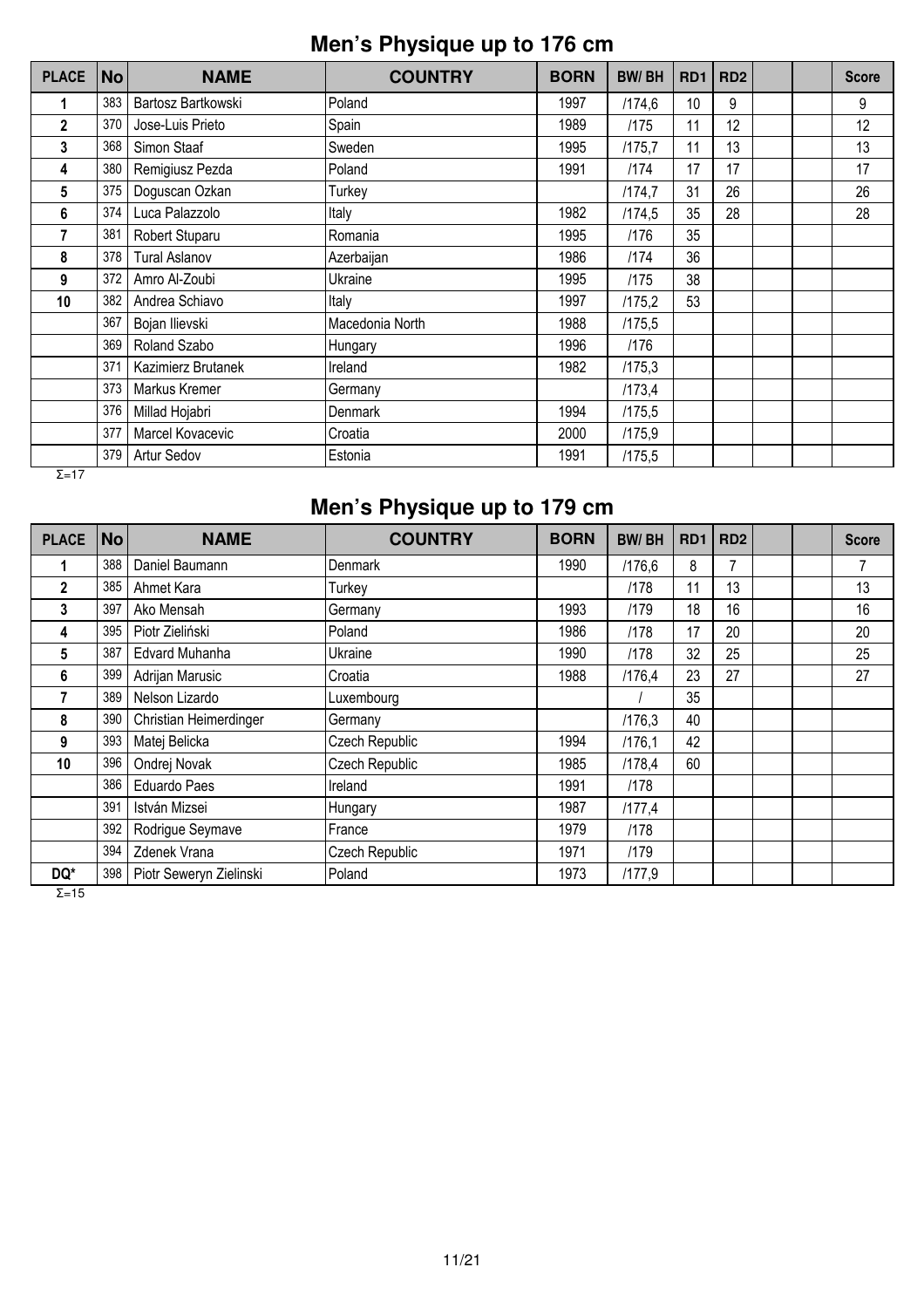## **Men's Physique up to 176 cm**

| <b>PLACE</b>  | <b>No</b> | <b>NAME</b>          | <b>COUNTRY</b>  | <b>BORN</b> | <b>BW/BH</b> | RD <sub>1</sub> | RD <sub>2</sub> |  | <b>Score</b> |
|---------------|-----------|----------------------|-----------------|-------------|--------------|-----------------|-----------------|--|--------------|
|               | 383       | Bartosz Bartkowski   | Poland          | 1997        | /174,6       | 10              | 9               |  | 9            |
| $\mathbf{2}$  | 370       | Jose-Luis Prieto     | Spain           | 1989        | /175         | 11              | 12              |  | 12           |
| 3             | 368       | Simon Staaf          | Sweden          | 1995        | /175,7       | 11              | 13              |  | 13           |
| 4             | 380       | Remigiusz Pezda      | Poland          | 1991        | /174         | 17              | 17              |  | 17           |
| 5             | 375       | Doguscan Ozkan       | Turkey          |             | /174,7       | 31              | 26              |  | 26           |
| 6             | 374       | Luca Palazzolo       | Italy           | 1982        | /174,5       | 35              | 28              |  | 28           |
| 7             | 381       | Robert Stuparu       | Romania         | 1995        | /176         | 35              |                 |  |              |
| 8             | 378       | <b>Tural Aslanov</b> | Azerbaijan      | 1986        | /174         | 36              |                 |  |              |
| 9             | 372       | Amro Al-Zoubi        | Ukraine         | 1995        | /175         | 38              |                 |  |              |
| 10            | 382       | Andrea Schiavo       | Italy           | 1997        | /175,2       | 53              |                 |  |              |
|               | 367       | Bojan Ilievski       | Macedonia North | 1988        | /175,5       |                 |                 |  |              |
|               | 369       | Roland Szabo         | Hungary         | 1996        | /176         |                 |                 |  |              |
|               | 371       | Kazimierz Brutanek   | Ireland         | 1982        | /175,3       |                 |                 |  |              |
|               | 373       | Markus Kremer        | Germany         |             | /173,4       |                 |                 |  |              |
|               | 376       | Millad Hojabri       | Denmark         | 1994        | /175,5       |                 |                 |  |              |
|               | 377       | Marcel Kovacevic     | Croatia         | 2000        | /175,9       |                 |                 |  |              |
|               | 379       | Artur Sedov          | Estonia         | 1991        | /175,5       |                 |                 |  |              |
| $\Sigma = 17$ |           |                      |                 |             |              |                 |                 |  |              |

# **Men's Physique up to 179 cm**

| <b>PLACE</b> | No  | <b>NAME</b>             | <b>COUNTRY</b> | <b>BORN</b> | <b>BW/BH</b> | R <sub>D</sub> 1 | RD <sub>2</sub> |  | <b>Score</b> |
|--------------|-----|-------------------------|----------------|-------------|--------------|------------------|-----------------|--|--------------|
|              | 388 | Daniel Baumann          | <b>Denmark</b> | 1990        | /176,6       | 8                |                 |  | 7            |
| $\mathbf{2}$ | 385 | Ahmet Kara              | Turkey         |             | /178         | 11               | 13              |  | 13           |
| 3            | 397 | Ako Mensah              | Germany        | 1993        | /179         | 18               | 16              |  | 16           |
| 4            | 395 | Piotr Zieliński         | Poland         | 1986        | /178         | 17               | 20              |  | 20           |
| 5            | 387 | Edvard Muhanha          | Ukraine        | 1990        | /178         | 32               | 25              |  | 25           |
| 6            | 399 | Adrijan Marusic         | Croatia        | 1988        | /176,4       | 23               | 27              |  | 27           |
|              | 389 | Nelson Lizardo          | Luxembourg     |             |              | 35               |                 |  |              |
| 8            | 390 | Christian Heimerdinger  | Germany        |             | /176,3       | 40               |                 |  |              |
| 9            | 393 | Matej Belicka           | Czech Republic | 1994        | /176,1       | 42               |                 |  |              |
| 10           | 396 | Ondrej Novak            | Czech Republic | 1985        | /178,4       | 60               |                 |  |              |
|              | 386 | <b>Eduardo Paes</b>     | Ireland        | 1991        | /178         |                  |                 |  |              |
|              | 391 | István Mizsei           | Hungary        | 1987        | /177,4       |                  |                 |  |              |
|              | 392 | Rodrigue Seymave        | France         | 1979        | /178         |                  |                 |  |              |
|              | 394 | Zdenek Vrana            | Czech Republic | 1971        | /179         |                  |                 |  |              |
| DQ*          | 398 | Piotr Seweryn Zielinski | Poland         | 1973        | /177,9       |                  |                 |  |              |

 $\overline{Σ}$ =15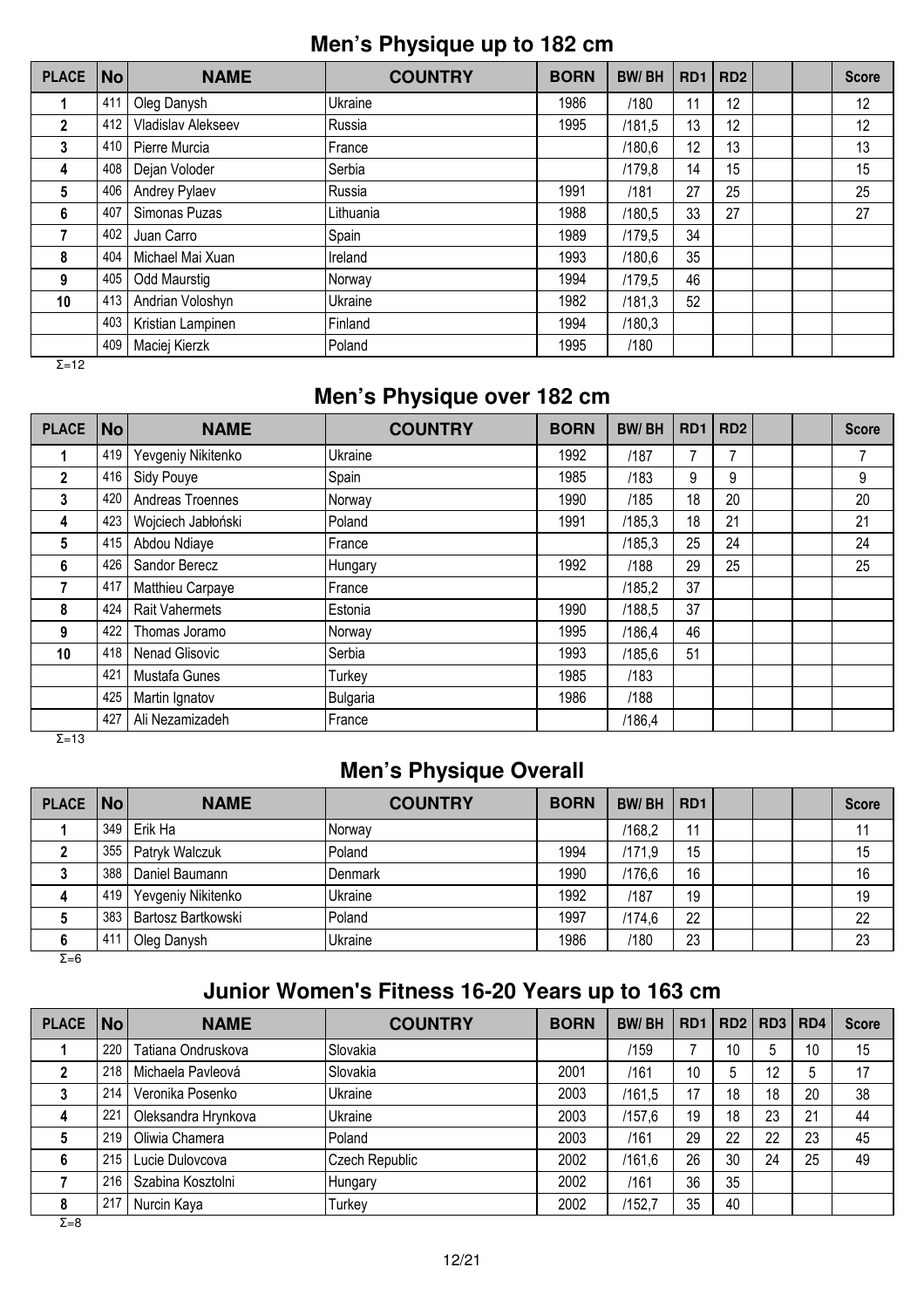## **Men's Physique up to 182 cm**

| <b>PLACE</b>  | No  | <b>NAME</b>         | <b>COUNTRY</b> | <b>BORN</b> | <b>BW/BH</b> | RD <sub>1</sub> | RD <sub>2</sub> |  | <b>Score</b> |
|---------------|-----|---------------------|----------------|-------------|--------------|-----------------|-----------------|--|--------------|
| 1             | 411 | Oleg Danysh         | Ukraine        | 1986        | /180         | 11              | 12              |  | 12           |
| $\mathbf{2}$  | 412 | Vladislav Alekseev  | Russia         | 1995        | /181,5       | 13              | 12              |  | 12           |
| 3             | 410 | Pierre Murcia       | France         |             | /180,6       | 12              | 13              |  | 13           |
| 4             | 408 | Dejan Voloder       | Serbia         |             | /179.8       | 14              | 15              |  | 15           |
| 5             | 406 | Andrey Pylaev       | Russia         | 1991        | /181         | 27              | 25              |  | 25           |
| 6             | 407 | Simonas Puzas       | Lithuania      | 1988        | /180.5       | 33              | 27              |  | 27           |
|               | 402 | Juan Carro          | Spain          | 1989        | /179,5       | 34              |                 |  |              |
| 8             | 404 | Michael Mai Xuan    | Ireland        | 1993        | /180,6       | 35              |                 |  |              |
| 9             | 405 | <b>Odd Maurstig</b> | Norway         | 1994        | /179,5       | 46              |                 |  |              |
| 10            | 413 | Andrian Voloshyn    | Ukraine        | 1982        | /181.3       | 52              |                 |  |              |
|               | 403 | Kristian Lampinen   | Finland        | 1994        | /180,3       |                 |                 |  |              |
| $\sim$ $\sim$ | 409 | Maciej Kierzk       | Poland         | 1995        | /180         |                 |                 |  |              |

Σ=12

## **Men's Physique over 182 cm**

| <b>PLACE</b> | No  | <b>NAME</b>           | <b>COUNTRY</b>  | <b>BORN</b> | <b>BW/BH</b> | RD <sub>1</sub> | RD <sub>2</sub> |  | <b>Score</b> |
|--------------|-----|-----------------------|-----------------|-------------|--------------|-----------------|-----------------|--|--------------|
|              | 419 | Yevgeniy Nikitenko    | Ukraine         | 1992        | /187         |                 | 7               |  | 7            |
| $\mathbf{2}$ | 416 | Sidy Pouye            | Spain           | 1985        | /183         | 9               | 9               |  | 9            |
| 3            | 420 | Andreas Troennes      | Norway          | 1990        | /185         | 18              | 20              |  | 20           |
| 4            | 423 | Wojciech Jabłoński    | Poland          | 1991        | /185,3       | 18              | 21              |  | 21           |
| 5            | 415 | Abdou Ndiaye          | <b>France</b>   |             | /185,3       | 25              | 24              |  | 24           |
| 6            | 426 | Sandor Berecz         | Hungary         | 1992        | /188         | 29              | 25              |  | 25           |
|              | 417 | Matthieu Carpaye      | France          |             | /185,2       | 37              |                 |  |              |
| 8            | 424 | <b>Rait Vahermets</b> | Estonia         | 1990        | /188.5       | 37              |                 |  |              |
| 9            | 422 | Thomas Joramo         | Norway          | 1995        | /186,4       | 46              |                 |  |              |
| 10           | 418 | Nenad Glisovic        | Serbia          | 1993        | /185,6       | 51              |                 |  |              |
|              | 421 | Mustafa Gunes         | Turkey          | 1985        | /183         |                 |                 |  |              |
|              | 425 | Martin Ignatov        | <b>Bulgaria</b> | 1986        | /188         |                 |                 |  |              |
|              | 427 | Ali Nezamizadeh       | France          |             | /186,4       |                 |                 |  |              |

Σ=13

## **Men's Physique Overall**

| PLACE No |     | <b>NAME</b>        | <b>COUNTRY</b>   | <b>BORN</b> | <b>BW/BH</b> | RD <sub>1</sub> |  | <b>Score</b> |
|----------|-----|--------------------|------------------|-------------|--------------|-----------------|--|--------------|
|          | 349 | Erik Ha            | INorwav          |             | /168,2       | 11              |  | 11           |
|          | 355 | Patryk Walczuk     | Poland           | 1994        | /171.9       | 15              |  | 15           |
|          | 388 | Daniel Baumann     | <b>I</b> Denmark | 1990        | /176,6       | 16              |  | 16           |
|          | 419 | Yevgeniy Nikitenko | Ukraine          | 1992        | /187         | 19              |  | 19           |
|          | 383 | Bartosz Bartkowski | Poland           | 1997        | /174,6       | 22              |  | 22           |
|          | 41' | Oleg Danysh        | Ukraine          | 1986        | /180         | 23              |  | 23           |

Σ=6

## **Junior Women's Fitness 16-20 Years up to 163 cm**

| <b>PLACE</b> | $\overline{\mathsf{No}}$ | <b>NAME</b>         | <b>COUNTRY</b> | <b>BORN</b> | <b>BW/BH</b> | RD <sub>1</sub> |    | RD2   RD3 | RD <sub>4</sub> | <b>Score</b> |
|--------------|--------------------------|---------------------|----------------|-------------|--------------|-----------------|----|-----------|-----------------|--------------|
|              | 220                      | Tatiana Ondruskova  | Slovakia       |             | /159         |                 | 10 | 5         | 10              | 15           |
|              | 218                      | Michaela Pavleová   | Slovakia       | 2001        | /161         | 10              |    | 12        | 5               | 17           |
|              | 214                      | Veronika Posenko    | Ukraine        | 2003        | /161.5       | 17              | 18 | 18        | 20              | 38           |
|              | 221                      | Oleksandra Hrynkova | Ukraine        | 2003        | /157,6       | 19              | 18 | 23        | 21              | 44           |
|              | 219                      | Oliwia Chamera      | Poland         | 2003        | /161         | 29              | 22 | 22        | 23              | 45           |
| 6            | 215                      | Lucie Dulovcova     | Czech Republic | 2002        | /161,6       | 26              | 30 | 24        | 25              | 49           |
|              | 216                      | Szabina Kosztolni   | Hungary        | 2002        | /161         | 36              | 35 |           |                 |              |
| 8            | 217                      | Nurcin Kaya         | Turkey         | 2002        | /152,7       | 35              | 40 |           |                 |              |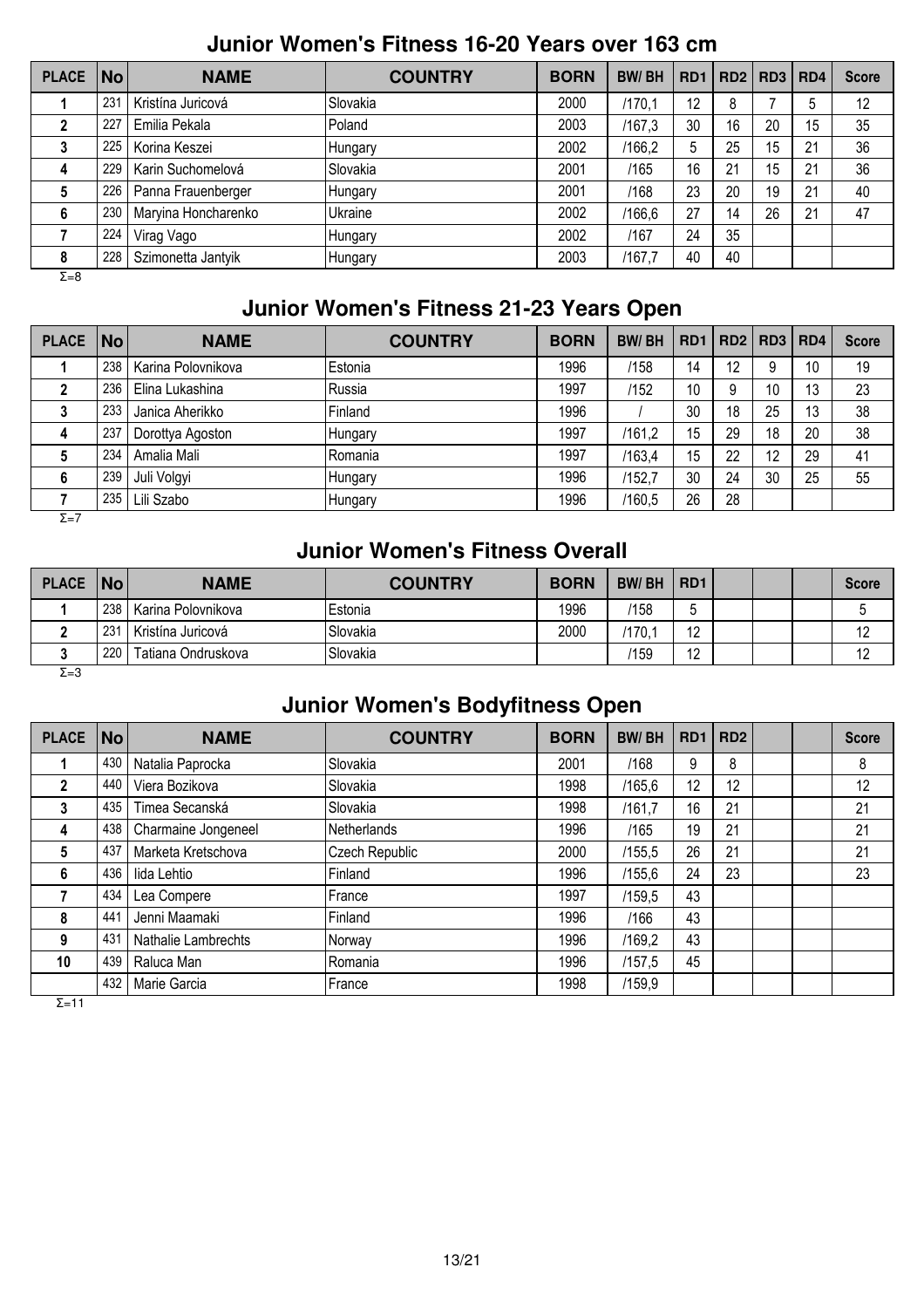#### **Junior Women's Fitness 16-20 Years over 163 cm**

| <b>PLACE</b> | <b>No</b> | <b>NAME</b>         | <b>COUNTRY</b> | <b>BORN</b> | <b>BW/BH</b> | RD <sub>1</sub> |    | RD2   RD3   RD4 |    | <b>Score</b> |
|--------------|-----------|---------------------|----------------|-------------|--------------|-----------------|----|-----------------|----|--------------|
|              | 231       | Kristína Juricová   | Slovakia       | 2000        | /170.1       | 12              | 8  |                 | 5  | 12           |
|              | 227       | Emilia Pekala       | Poland         | 2003        | /167,3       | 30              | 16 | 20              | 15 | 35           |
| 3            | 225       | Korina Keszei       | Hungary        | 2002        | /166,2       | 5               | 25 | 15              | 21 | 36           |
| 4            | 229       | Karin Suchomelová   | Slovakia       | 2001        | /165         | 16              | 21 | 15              | 21 | 36           |
| 5            | 226       | Panna Frauenberger  | Hungary        | 2001        | /168         | 23              | 20 | 19              | 21 | 40           |
| 6            | 230       | Maryina Honcharenko | Ukraine        | 2002        | /166,6       | 27              | 14 | 26              | 21 | 47           |
|              | 224       | Virag Vago          | Hungary        | 2002        | /167         | 24              | 35 |                 |    |              |
| 8            | 228       | Szimonetta Jantyik  | Hungary        | 2003        | /167.7       | 40              | 40 |                 |    |              |
| $\Sigma = 8$ |           |                     |                |             |              |                 |    |                 |    |              |

## **Junior Women's Fitness 21-23 Years Open**

| <b>PLACE</b> | $\overline{\mathsf{No}}$ | <b>NAME</b>        | <b>COUNTRY</b> | <b>BORN</b> | <b>BW/BH</b> | RD <sub>1</sub> | RD2   RD3 |    | RD <sub>4</sub> | <b>Score</b> |
|--------------|--------------------------|--------------------|----------------|-------------|--------------|-----------------|-----------|----|-----------------|--------------|
|              | 238                      | Karina Polovnikova | Estonia        | 1996        | /158         | 14              | 12        |    | 10              | 19           |
|              | 236                      | Elina Lukashina    | Russia         | 1997        | /152         | 10              | 9         | 10 | 13              | 23           |
| 3            | 233                      | Janica Aherikko    | Finland        | 1996        |              | 30              | 18        | 25 | 13              | 38           |
| 4            | 237                      | Dorottya Agoston   | Hungary        | 1997        | /161.2       | 15              | 29        | 18 | 20              | 38           |
| G            | 234                      | Amalia Mali        | Romania        | 1997        | /163.4       | 15              | 22        | 12 | 29              | 41           |
| 6            | 239                      | Juli Volgyi        | Hungary        | 1996        | /152,7       | 30              | 24        | 30 | 25              | 55           |
|              | 235                      | Lili Szabo         | Hungary        | 1996        | /160,5       | 26              | 28        |    |                 |              |

Σ=7

#### **Junior Women's Fitness Overall**

| <b>PLACE</b> | No              | <b>NAME</b>        | <b>COUNTRY</b> | <b>BORN</b> | <b>BW/BH</b> | RD <sub>1</sub> |  | <b>Score</b> |
|--------------|-----------------|--------------------|----------------|-------------|--------------|-----------------|--|--------------|
|              | 238             | Karina Polovnikova | lEstonia       | 1996        | /158         |                 |  |              |
|              | 23 <sup>′</sup> | Kristína Juricová  | Slovakia       | 2000        | /170.7       | 10              |  |              |
|              | 220             | Tatiana Ondruskova | Slovakia       |             | /159         | 12              |  |              |
| $\Sigma = 3$ |                 |                    |                |             |              |                 |  |              |

#### **Junior Women's Bodyfitness Open**

| <b>PLACE</b> | $\overline{\mathsf{No}}$ | <b>NAME</b>         | <b>COUNTRY</b>     | <b>BORN</b> | <b>BW/BH</b> | RD <sub>1</sub> | RD <sub>2</sub> |  | <b>Score</b> |
|--------------|--------------------------|---------------------|--------------------|-------------|--------------|-----------------|-----------------|--|--------------|
|              | 430                      | Natalia Paprocka    | Slovakia           | 2001        | /168         | 9               | 8               |  | 8            |
| 2            | 440                      | Viera Bozikova      | Slovakia           | 1998        | /165,6       | 12              | 12              |  | 12           |
| 3            | 435                      | Timea Secanská      | Slovakia           | 1998        | /161,7       | 16              | 21              |  | 21           |
| 4            | 438                      | Charmaine Jongeneel | <b>Netherlands</b> | 1996        | /165         | 19              | 21              |  | 21           |
| 5            | 437                      | Marketa Kretschova  | Czech Republic     | 2000        | /155,5       | 26              | 21              |  | 21           |
| 6            | 436                      | lida Lehtio         | Finland            | 1996        | /155,6       | 24              | 23              |  | 23           |
|              | 434                      | Lea Compere         | France             | 1997        | /159,5       | 43              |                 |  |              |
| 8            | 441                      | Jenni Maamaki       | Finland            | 1996        | /166         | 43              |                 |  |              |
| 9            | 431                      | Nathalie Lambrechts | Norway             | 1996        | /169,2       | 43              |                 |  |              |
| 10           | 439                      | Raluca Man          | Romania            | 1996        | /157,5       | 45              |                 |  |              |
|              | 432                      | Marie Garcia        | France             | 1998        | /159,9       |                 |                 |  |              |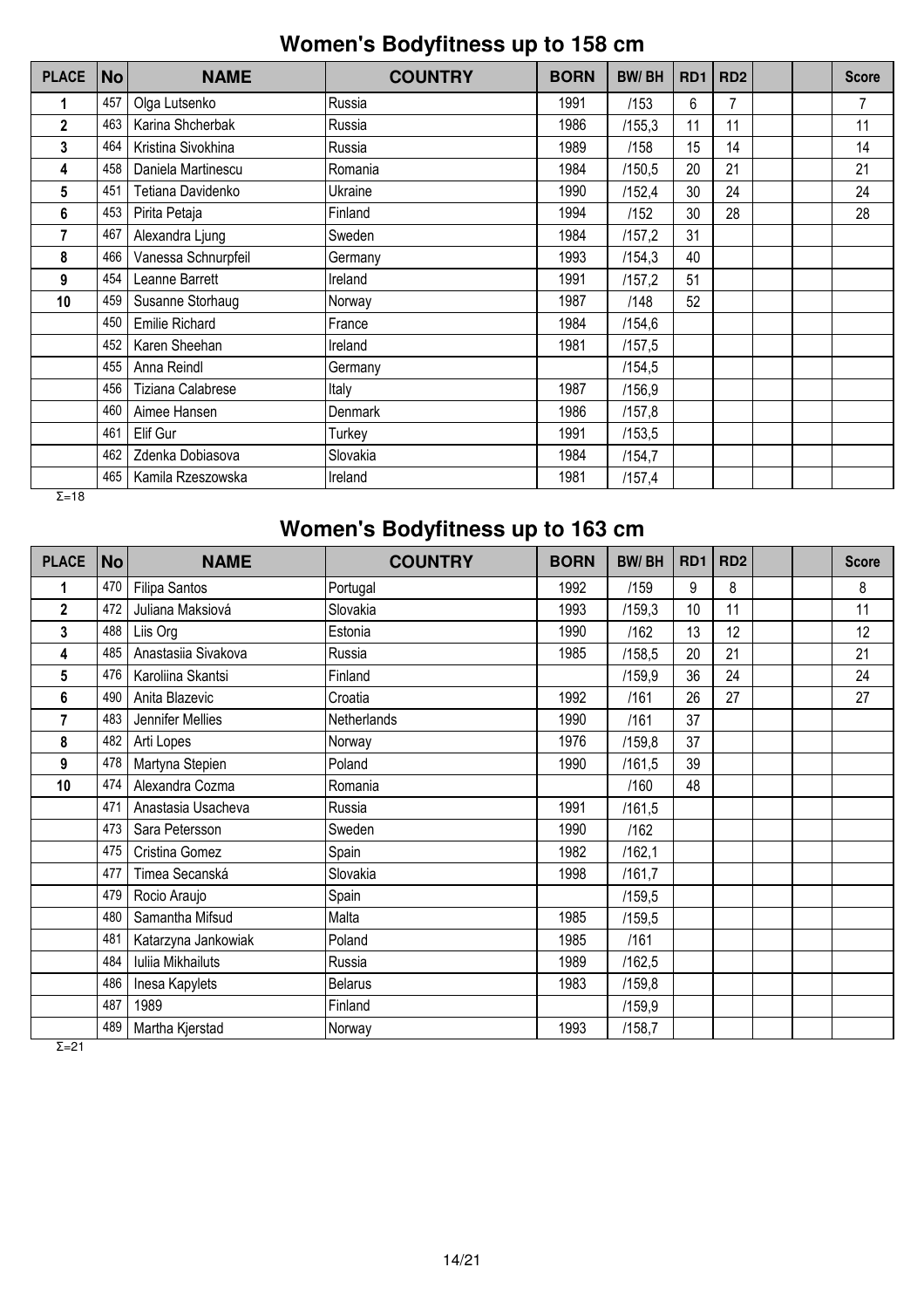## **Women's Bodyfitness up to 158 cm**

| <b>PLACE</b>  | <b>No</b> | <b>NAME</b>           | <b>COUNTRY</b> | <b>BORN</b> | <b>BW/BH</b> | RD <sub>1</sub> | RD <sub>2</sub> |  | <b>Score</b> |
|---------------|-----------|-----------------------|----------------|-------------|--------------|-----------------|-----------------|--|--------------|
|               | 457       | Olga Lutsenko         | Russia         | 1991        | /153         | 6               | 7               |  | 7            |
| $\mathfrak z$ | 463       | Karina Shcherbak      | Russia         | 1986        | /155,3       | 11              | 11              |  | 11           |
| 3             | 464       | Kristina Sivokhina    | Russia         | 1989        | /158         | 15              | 14              |  | 14           |
| 4             | 458       | Daniela Martinescu    | Romania        | 1984        | /150,5       | 20              | 21              |  | 21           |
| 5             | 451       | Tetiana Davidenko     | Ukraine        | 1990        | /152,4       | 30              | 24              |  | 24           |
| 6             | 453       | Pirita Petaja         | Finland        | 1994        | /152         | 30              | 28              |  | 28           |
| 7             | 467       | Alexandra Ljung       | Sweden         | 1984        | /157,2       | 31              |                 |  |              |
| 8             | 466       | Vanessa Schnurpfeil   | Germany        | 1993        | /154,3       | 40              |                 |  |              |
| 9             | 454       | Leanne Barrett        | Ireland        | 1991        | /157,2       | 51              |                 |  |              |
| 10            | 459       | Susanne Storhaug      | Norway         | 1987        | /148         | 52              |                 |  |              |
|               | 450       | <b>Emilie Richard</b> | France         | 1984        | /154,6       |                 |                 |  |              |
|               | 452       | Karen Sheehan         | Ireland        | 1981        | /157,5       |                 |                 |  |              |
|               | 455       | Anna Reindl           | Germany        |             | /154,5       |                 |                 |  |              |
|               | 456       | Tiziana Calabrese     | Italy          | 1987        | /156,9       |                 |                 |  |              |
|               | 460       | Aimee Hansen          | Denmark        | 1986        | /157,8       |                 |                 |  |              |
|               | 461       | Elif Gur              | Turkey         | 1991        | /153,5       |                 |                 |  |              |
|               | 462       | Zdenka Dobiasova      | Slovakia       | 1984        | /154,7       |                 |                 |  |              |
|               | 465       | Kamila Rzeszowska     | Ireland        | 1981        | /157,4       |                 |                 |  |              |
| $\Sigma = 18$ |           |                       |                |             |              |                 |                 |  |              |

## **Women's Bodyfitness up to 163 cm**

| <b>PLACE</b> | No  | <b>NAME</b>         | <b>COUNTRY</b>     | <b>BORN</b> | <b>BW/BH</b> | RD <sub>1</sub> | <b>RD2</b> |  | <b>Score</b> |
|--------------|-----|---------------------|--------------------|-------------|--------------|-----------------|------------|--|--------------|
| 1            | 470 | Filipa Santos       | Portugal           | 1992        | /159         | 9               | 8          |  | 8            |
| $\mathbf 2$  | 472 | Juliana Maksiová    | Slovakia           | 1993        | /159,3       | 10              | 11         |  | 11           |
| 3            | 488 | Liis Org            | Estonia            | 1990        | /162         | 13              | 12         |  | 12           |
| 4            | 485 | Anastasiia Sivakova | Russia             | 1985        | /158,5       | 20              | 21         |  | 21           |
| 5            | 476 | Karoliina Skantsi   | Finland            |             | /159,9       | 36              | 24         |  | 24           |
| 6            | 490 | Anita Blazevic      | Croatia            | 1992        | /161         | 26              | 27         |  | 27           |
| 7            | 483 | Jennifer Mellies    | <b>Netherlands</b> | 1990        | /161         | 37              |            |  |              |
| 8            | 482 | Arti Lopes          | Norway             | 1976        | /159,8       | 37              |            |  |              |
| 9            | 478 | Martyna Stepien     | Poland             | 1990        | /161,5       | 39              |            |  |              |
| 10           | 474 | Alexandra Cozma     | Romania            |             | /160         | 48              |            |  |              |
|              | 471 | Anastasia Usacheva  | Russia             | 1991        | /161,5       |                 |            |  |              |
|              | 473 | Sara Petersson      | Sweden             | 1990        | /162         |                 |            |  |              |
|              | 475 | Cristina Gomez      | Spain              | 1982        | /162,1       |                 |            |  |              |
|              | 477 | Timea Secanská      | Slovakia           | 1998        | /161,7       |                 |            |  |              |
|              | 479 | Rocio Araujo        | Spain              |             | /159,5       |                 |            |  |              |
|              | 480 | Samantha Mifsud     | Malta              | 1985        | /159,5       |                 |            |  |              |
|              | 481 | Katarzyna Jankowiak | Poland             | 1985        | /161         |                 |            |  |              |
|              | 484 | Iuliia Mikhailuts   | Russia             | 1989        | /162,5       |                 |            |  |              |
|              | 486 | Inesa Kapylets      | <b>Belarus</b>     | 1983        | /159,8       |                 |            |  |              |
|              | 487 | 1989                | Finland            |             | /159,9       |                 |            |  |              |
|              | 489 | Martha Kjerstad     | Norway             | 1993        | /158,7       |                 |            |  |              |

 $\overline{Σ=21}$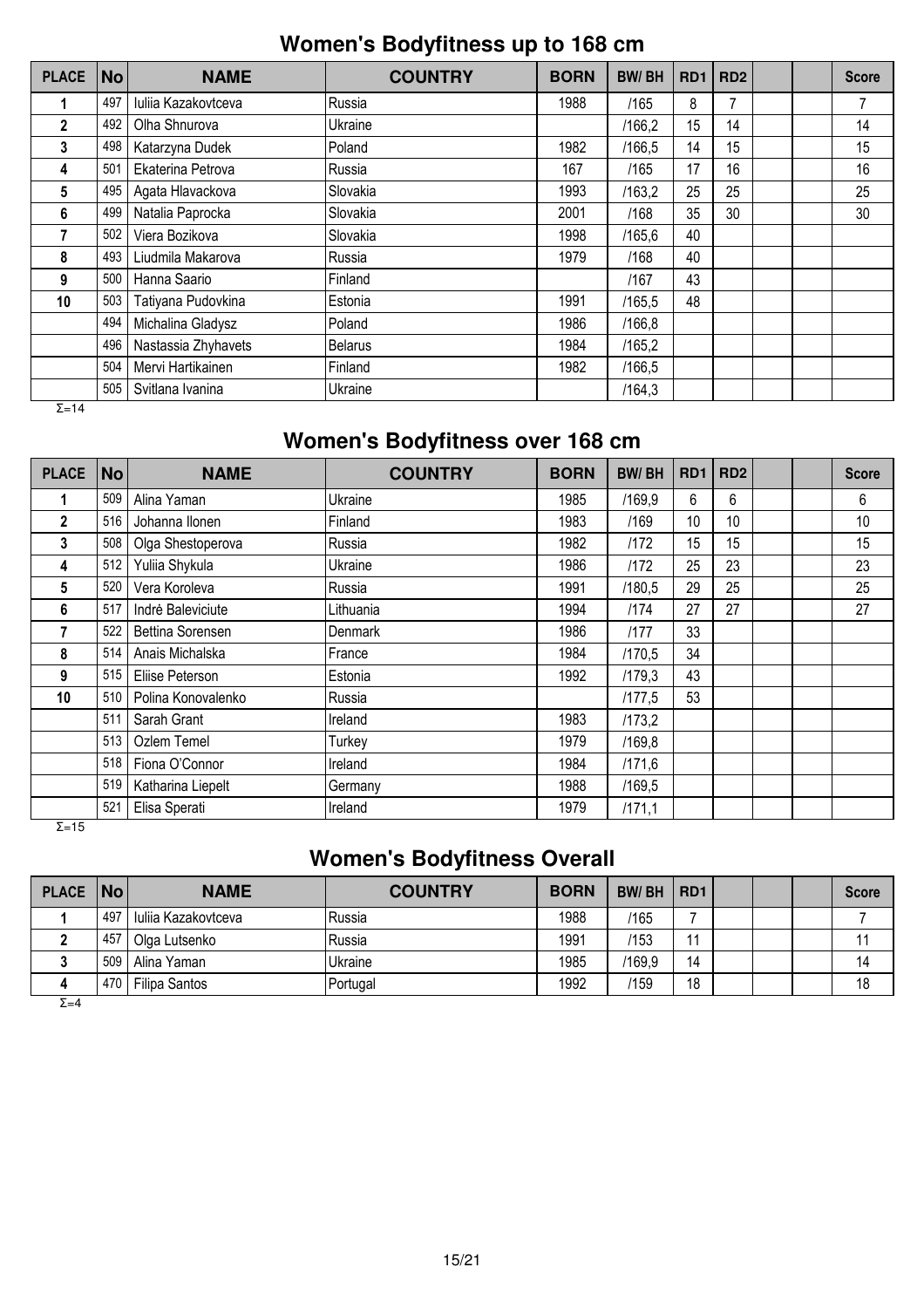## **Women's Bodyfitness up to 168 cm**

| <b>PLACE</b>  | <b>No</b> | <b>NAME</b>         | <b>COUNTRY</b> | <b>BORN</b> | <b>BW/BH</b> | RD <sub>1</sub> | RD <sub>2</sub> |  | <b>Score</b> |
|---------------|-----------|---------------------|----------------|-------------|--------------|-----------------|-----------------|--|--------------|
|               | 497       | Iulija Kazakovtceva | Russia         | 1988        | /165         | 8               |                 |  | 7            |
| $\mathbf{2}$  | 492       | Olha Shnurova       | Ukraine        |             | /166,2       | 15              | 14              |  | 14           |
| 3             | 498       | Katarzyna Dudek     | Poland         | 1982        | /166,5       | 14              | 15              |  | 15           |
| 4             | 501       | Ekaterina Petrova   | Russia         | 167         | /165         | 17              | 16              |  | 16           |
| 5             | 495       | Agata Hlavackova    | Slovakia       | 1993        | /163,2       | 25              | 25              |  | 25           |
| 6             | 499       | Natalia Paprocka    | Slovakia       | 2001        | /168         | 35              | 30              |  | 30           |
|               | 502       | Viera Bozikova      | Slovakia       | 1998        | /165,6       | 40              |                 |  |              |
| 8             | 493       | Liudmila Makarova   | Russia         | 1979        | /168         | 40              |                 |  |              |
| 9             | 500       | Hanna Saario        | Finland        |             | /167         | 43              |                 |  |              |
| 10            | 503       | Tatiyana Pudovkina  | Estonia        | 1991        | /165,5       | 48              |                 |  |              |
|               | 494       | Michalina Gladysz   | Poland         | 1986        | /166,8       |                 |                 |  |              |
|               | 496       | Nastassia Zhyhavets | <b>Belarus</b> | 1984        | /165,2       |                 |                 |  |              |
|               | 504       | Mervi Hartikainen   | Finland        | 1982        | /166.5       |                 |                 |  |              |
|               | 505       | Svitlana Ivanina    | Ukraine        |             | /164,3       |                 |                 |  |              |
| $\Sigma = 14$ |           |                     |                |             |              |                 |                 |  |              |

# **Women's Bodyfitness over 168 cm**

| <b>PLACE</b>   | No  | <b>NAME</b>        | <b>COUNTRY</b> | <b>BORN</b> | <b>BW/BH</b> | RD <sub>1</sub> | RD <sub>2</sub> |  | <b>Score</b> |
|----------------|-----|--------------------|----------------|-------------|--------------|-----------------|-----------------|--|--------------|
|                | 509 | Alina Yaman        | Ukraine        | 1985        | /169,9       | 6               | 6               |  | 6            |
| $\overline{2}$ | 516 | Johanna Ilonen     | Finland        | 1983        | /169         | 10              | 10 <sup>°</sup> |  | 10           |
| 3              | 508 | Olga Shestoperova  | Russia         | 1982        | /172         | 15              | 15              |  | 15           |
| 4              | 512 | Yuliia Shykula     | Ukraine        | 1986        | /172         | 25              | 23              |  | 23           |
| 5              | 520 | Vera Koroleva      | Russia         | 1991        | /180.5       | 29              | 25              |  | 25           |
| 6              | 517 | Indrė Baleviciute  | Lithuania      | 1994        | /174         | 27              | 27              |  | 27           |
| 7              | 522 | Bettina Sorensen   | Denmark        | 1986        | /177         | 33              |                 |  |              |
| 8              | 514 | Anais Michalska    | France         | 1984        | /170,5       | 34              |                 |  |              |
| 9              | 515 | Eliise Peterson    | Estonia        | 1992        | /179,3       | 43              |                 |  |              |
| 10             | 510 | Polina Konovalenko | Russia         |             | /177,5       | 53              |                 |  |              |
|                | 511 | Sarah Grant        | Ireland        | 1983        | /173,2       |                 |                 |  |              |
|                | 513 | Ozlem Temel        | Turkey         | 1979        | /169,8       |                 |                 |  |              |
|                | 518 | Fiona O'Connor     | Ireland        | 1984        | /171,6       |                 |                 |  |              |
|                | 519 | Katharina Liepelt  | Germany        | 1988        | /169,5       |                 |                 |  |              |
|                | 521 | Elisa Sperati      | Ireland        | 1979        | /171,1       |                 |                 |  |              |

 $\overline{Σ=15}$ 

## **Women's Bodyfitness Overall**

| PLACE   No |       | <b>NAME</b>         | <b>COUNTRY</b> | <b>BORN</b> | <b>BW/BH</b> | RD <sub>1</sub> |  | <b>Score</b> |
|------------|-------|---------------------|----------------|-------------|--------------|-----------------|--|--------------|
|            | . 497 | Iuliia Kazakovtceva | lRussia        | 1988        | /165         |                 |  |              |
|            | 457   | Olga Lutsenko       | Russia         | 1991        | /153         | -11             |  |              |
|            | 509   | Alina Yaman         | Ukraine        | 1985        | /169,9       | 14              |  | 14           |
|            | 470   | Filipa Santos       | Portugal       | 1992        | /159         | 18              |  | 18           |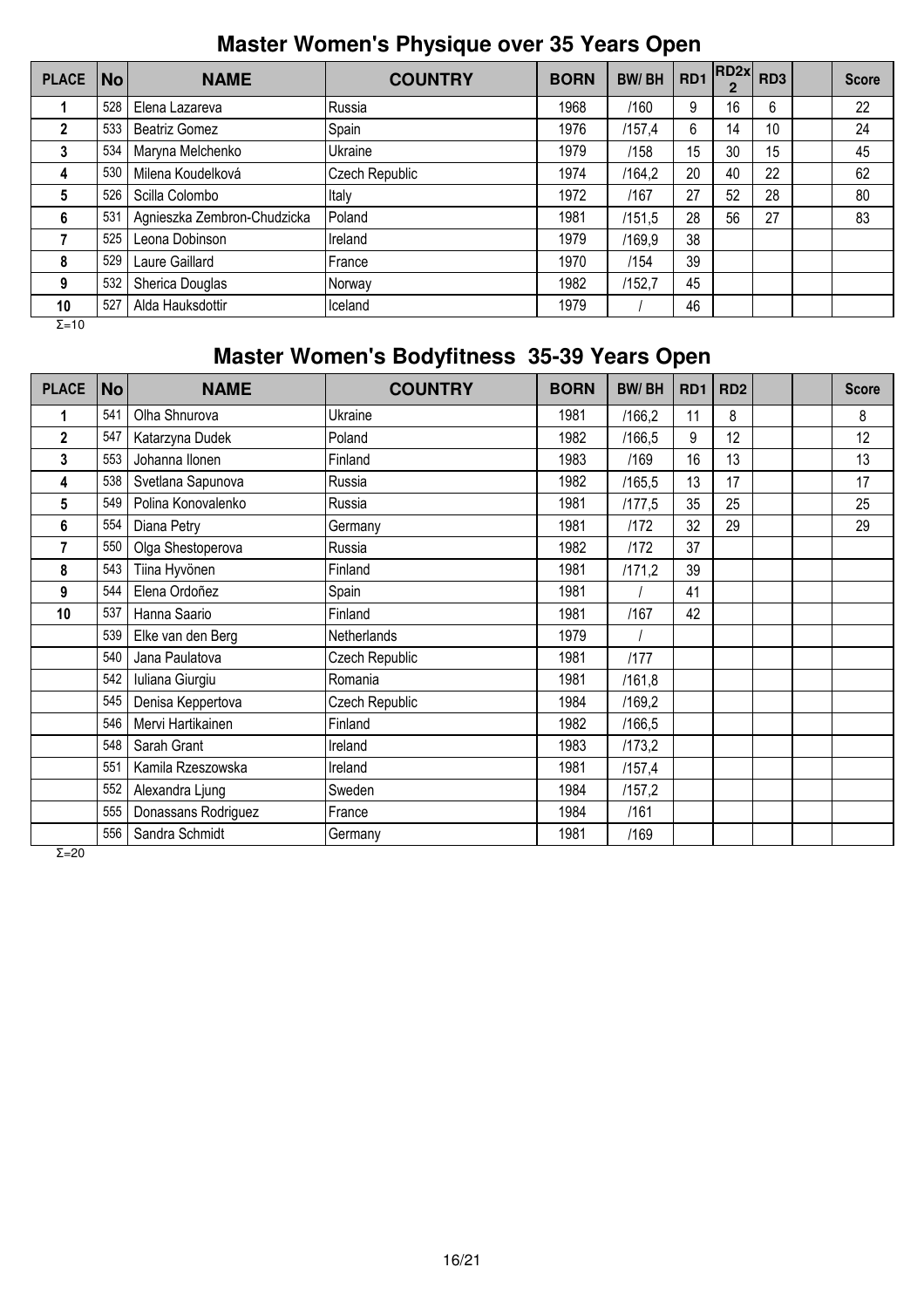## **Master Women's Physique over 35 Years Open**

| <b>PLACE</b>  | <b>No</b>       | <b>NAME</b>                 | <b>COUNTRY</b> | <b>BORN</b> | <b>BW/BH</b> | RD <sub>1</sub> | RD2x <br>$\overline{2}$ | RD <sub>3</sub> | <b>Score</b> |
|---------------|-----------------|-----------------------------|----------------|-------------|--------------|-----------------|-------------------------|-----------------|--------------|
|               | 528             | Elena Lazareva              | Russia         | 1968        | /160         | 9               | 16                      | 6               | 22           |
| $\mathbf 2$   | 533             | Beatriz Gomez               | Spain          | 1976        | /157,4       | 6               | 14                      | 10              | 24           |
| 3             | 534             | Maryna Melchenko            | Ukraine        | 1979        | /158         | 15              | 30                      | 15              | 45           |
| 4             | 530             | Milena Koudelková           | Czech Republic | 1974        | /164,2       | 20              | 40                      | 22              | 62           |
| 5             | 526             | Scilla Colombo              | Italy          | 1972        | /167         | 27              | 52                      | 28              | 80           |
| 6             | 53 <sup>4</sup> | Agnieszka Zembron-Chudzicka | Poland         | 1981        | /151,5       | 28              | 56                      | 27              | 83           |
|               | 525             | Leona Dobinson              | Ireland        | 1979        | /169,9       | 38              |                         |                 |              |
| 8             | 529             | Laure Gaillard              | France         | 1970        | /154         | 39              |                         |                 |              |
| 9             | 532             | Sherica Douglas             | Norway         | 1982        | /152,7       | 45              |                         |                 |              |
| 10            | 527             | Alda Hauksdottir            | Iceland        | 1979        |              | 46              |                         |                 |              |
| $\Sigma = 10$ |                 |                             |                |             |              |                 |                         |                 |              |

# **Master Women's Bodyfitness 35-39 Years Open**

| <b>PLACE</b>   | <b>No</b> | <b>NAME</b>         | <b>COUNTRY</b> | <b>BORN</b> | <b>BW/BH</b> | R <sub>D</sub> 1 | RD <sub>2</sub> |  | <b>Score</b> |
|----------------|-----------|---------------------|----------------|-------------|--------------|------------------|-----------------|--|--------------|
|                | 541       | Olha Shnurova       | Ukraine        | 1981        | /166,2       | 11               | 8               |  | 8            |
| $\overline{2}$ | 547       | Katarzyna Dudek     | Poland         | 1982        | /166,5       | 9                | 12              |  | 12           |
| 3              | 553       | Johanna Ilonen      | Finland        | 1983        | /169         | 16               | 13              |  | 13           |
| 4              | 538       | Svetlana Sapunova   | Russia         | 1982        | /165,5       | 13               | 17              |  | 17           |
| 5              | 549       | Polina Konovalenko  | Russia         | 1981        | /177,5       | 35               | 25              |  | 25           |
| 6              | 554       | Diana Petry         | Germany        | 1981        | 1172         | 32               | 29              |  | 29           |
| 7              | 550       | Olga Shestoperova   | Russia         | 1982        | 1172         | 37               |                 |  |              |
| 8              | 543       | Tiina Hyvönen       | Finland        | 1981        | /171,2       | 39               |                 |  |              |
| 9              | 544       | Elena Ordoñez       | Spain          | 1981        |              | 41               |                 |  |              |
| 10             | 537       | Hanna Saario        | Finland        | 1981        | /167         | 42               |                 |  |              |
|                | 539       | Elke van den Berg   | Netherlands    | 1979        |              |                  |                 |  |              |
|                | 540       | Jana Paulatova      | Czech Republic | 1981        | 1177         |                  |                 |  |              |
|                | 542       | Iuliana Giurgiu     | Romania        | 1981        | /161,8       |                  |                 |  |              |
|                | 545       | Denisa Keppertova   | Czech Republic | 1984        | /169,2       |                  |                 |  |              |
|                | 546       | Mervi Hartikainen   | Finland        | 1982        | /166,5       |                  |                 |  |              |
|                | 548       | Sarah Grant         | Ireland        | 1983        | /173,2       |                  |                 |  |              |
|                | 551       | Kamila Rzeszowska   | Ireland        | 1981        | /157,4       |                  |                 |  |              |
|                | 552       | Alexandra Ljung     | Sweden         | 1984        | /157,2       |                  |                 |  |              |
|                | 555       | Donassans Rodriguez | France         | 1984        | /161         |                  |                 |  |              |
|                | 556       | Sandra Schmidt      | Germany        | 1981        | /169         |                  |                 |  |              |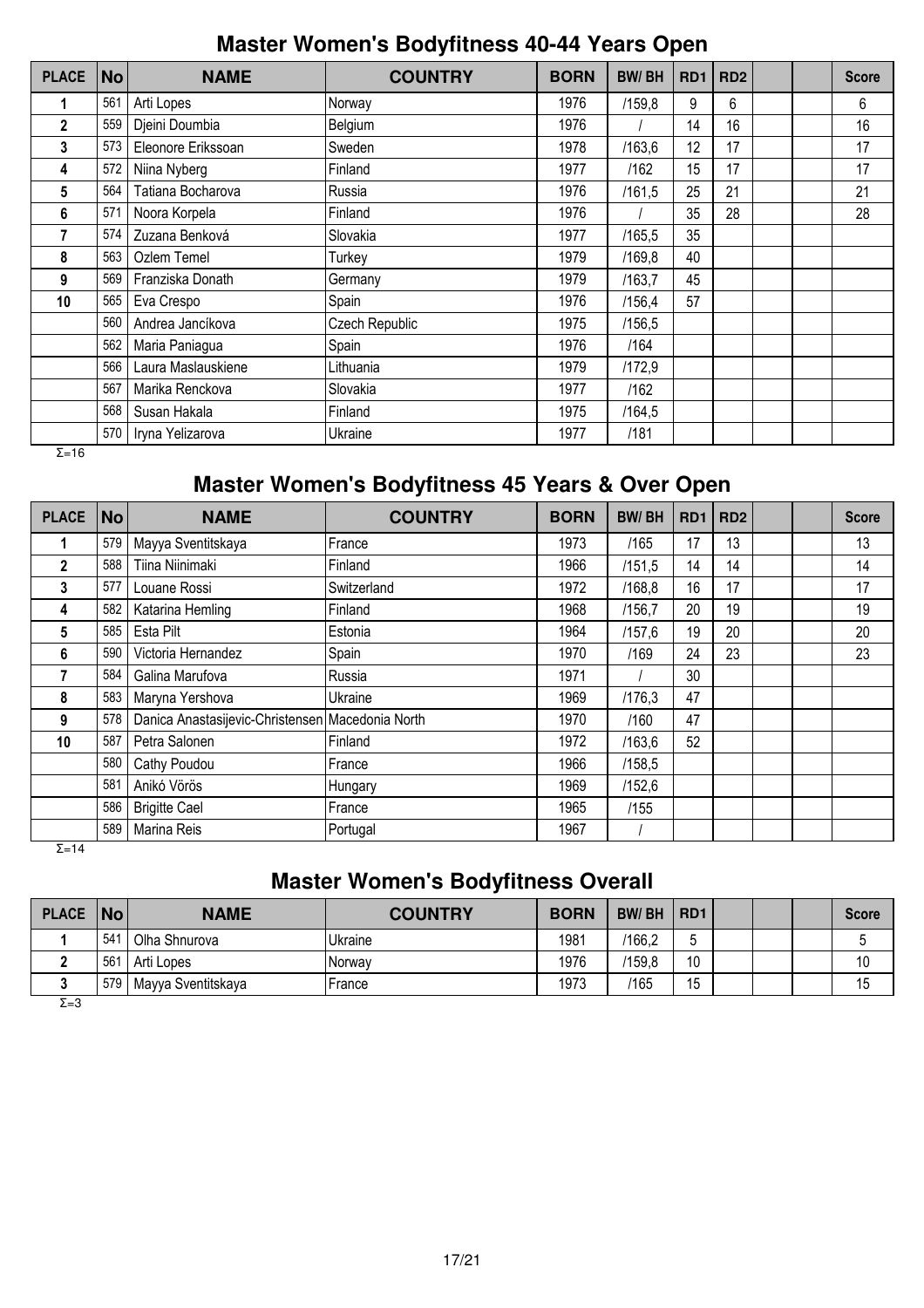## **Master Women's Bodyfitness 40-44 Years Open**

| <b>PLACE</b> | <b>No</b> | <b>NAME</b>        | <b>COUNTRY</b> | <b>BORN</b> | <b>BW/BH</b> | RD <sub>1</sub> | RD <sub>2</sub> |  | <b>Score</b> |
|--------------|-----------|--------------------|----------------|-------------|--------------|-----------------|-----------------|--|--------------|
| 1            | 561       | Arti Lopes         | Norway         | 1976        | /159,8       | 9               | 6               |  | 6            |
| $\mathbf{2}$ | 559       | Djeini Doumbia     | Belgium        | 1976        |              | 14              | 16              |  | 16           |
| 3            | 573       | Eleonore Erikssoan | Sweden         | 1978        | /163,6       | 12              | 17              |  | 17           |
| 4            | 572       | Niina Nyberg       | Finland        | 1977        | /162         | 15              | 17              |  | 17           |
| 5            | 564       | Tatiana Bocharova  | Russia         | 1976        | /161,5       | 25              | 21              |  | 21           |
| 6            | 571       | Noora Korpela      | Finland        | 1976        |              | 35              | 28              |  | 28           |
| 7            | 574       | Zuzana Benková     | Slovakia       | 1977        | /165,5       | 35              |                 |  |              |
| 8            | 563       | Ozlem Temel        | Turkey         | 1979        | /169,8       | 40              |                 |  |              |
| 9            | 569       | Franziska Donath   | Germany        | 1979        | /163.7       | 45              |                 |  |              |
| 10           | 565       | Eva Crespo         | Spain          | 1976        | /156,4       | 57              |                 |  |              |
|              | 560       | Andrea Jancíkova   | Czech Republic | 1975        | /156,5       |                 |                 |  |              |
|              | 562       | Maria Paniagua     | Spain          | 1976        | /164         |                 |                 |  |              |
|              | 566       | Laura Maslauskiene | Lithuania      | 1979        | /172,9       |                 |                 |  |              |
|              | 567       | Marika Renckova    | Slovakia       | 1977        | /162         |                 |                 |  |              |
|              | 568       | Susan Hakala       | Finland        | 1975        | /164,5       |                 |                 |  |              |
|              | 570       | Iryna Yelizarova   | Ukraine        | 1977        | /181         |                 |                 |  |              |

 $\overline{Σ=16}$ 

## **Master Women's Bodyfitness 45 Years & Over Open**

| <b>PLACE</b> | No  | <b>NAME</b>                                      | <b>COUNTRY</b> | <b>BORN</b> | <b>BW/BH</b> | R <sub>D</sub> <sub>1</sub> | RD <sub>2</sub> |  | <b>Score</b> |
|--------------|-----|--------------------------------------------------|----------------|-------------|--------------|-----------------------------|-----------------|--|--------------|
|              | 579 | Mayya Sventitskaya                               | France         | 1973        | /165         | 17                          | 13              |  | 13           |
| 2            | 588 | Tiina Niinimaki                                  | Finland        | 1966        | /151,5       | 14                          | 14              |  | 14           |
| 3            | 577 | Louane Rossi                                     | Switzerland    | 1972        | /168.8       | 16                          | 17              |  | 17           |
| 4            | 582 | Katarina Hemling                                 | Finland        | 1968        | /156,7       | 20                          | 19              |  | 19           |
| 5            | 585 | Esta Pilt                                        | Estonia        | 1964        | /157,6       | 19                          | 20              |  | 20           |
| 6            | 590 | Victoria Hernandez                               | Spain          | 1970        | /169         | 24                          | 23              |  | 23           |
|              | 584 | Galina Marufova                                  | Russia         | 1971        |              | 30                          |                 |  |              |
| 8            | 583 | Maryna Yershova                                  | Ukraine        | 1969        | /176,3       | 47                          |                 |  |              |
| 9            | 578 | Danica Anastasijevic-Christensen Macedonia North |                | 1970        | /160         | 47                          |                 |  |              |
| 10           | 587 | Petra Salonen                                    | Finland        | 1972        | /163,6       | 52                          |                 |  |              |
|              | 580 | Cathy Poudou                                     | France         | 1966        | /158,5       |                             |                 |  |              |
|              | 581 | Anikó Vörös                                      | Hungary        | 1969        | /152,6       |                             |                 |  |              |
|              | 586 | <b>Brigitte Cael</b>                             | France         | 1965        | /155         |                             |                 |  |              |
|              | 589 | Marina Reis                                      | Portugal       | 1967        |              |                             |                 |  |              |

 $Σ=14$ 

## **Master Women's Bodyfitness Overall**

| PLACE   No |     | <b>NAME</b>        | <b>COUNTRY</b> | <b>BORN</b> | <b>BW/BH</b> | R <sub>D</sub> 1 |  | Score |
|------------|-----|--------------------|----------------|-------------|--------------|------------------|--|-------|
|            | 541 | Olha Shnurova      | Ukraine        | 1981        | /166,2       |                  |  |       |
|            | 561 | Arti Lopes         | Norway         | 1976        | /159,8       | 10               |  |       |
|            | 579 | Mayya Sventitskaya | France         | 1973        | /165         | 15               |  | 15    |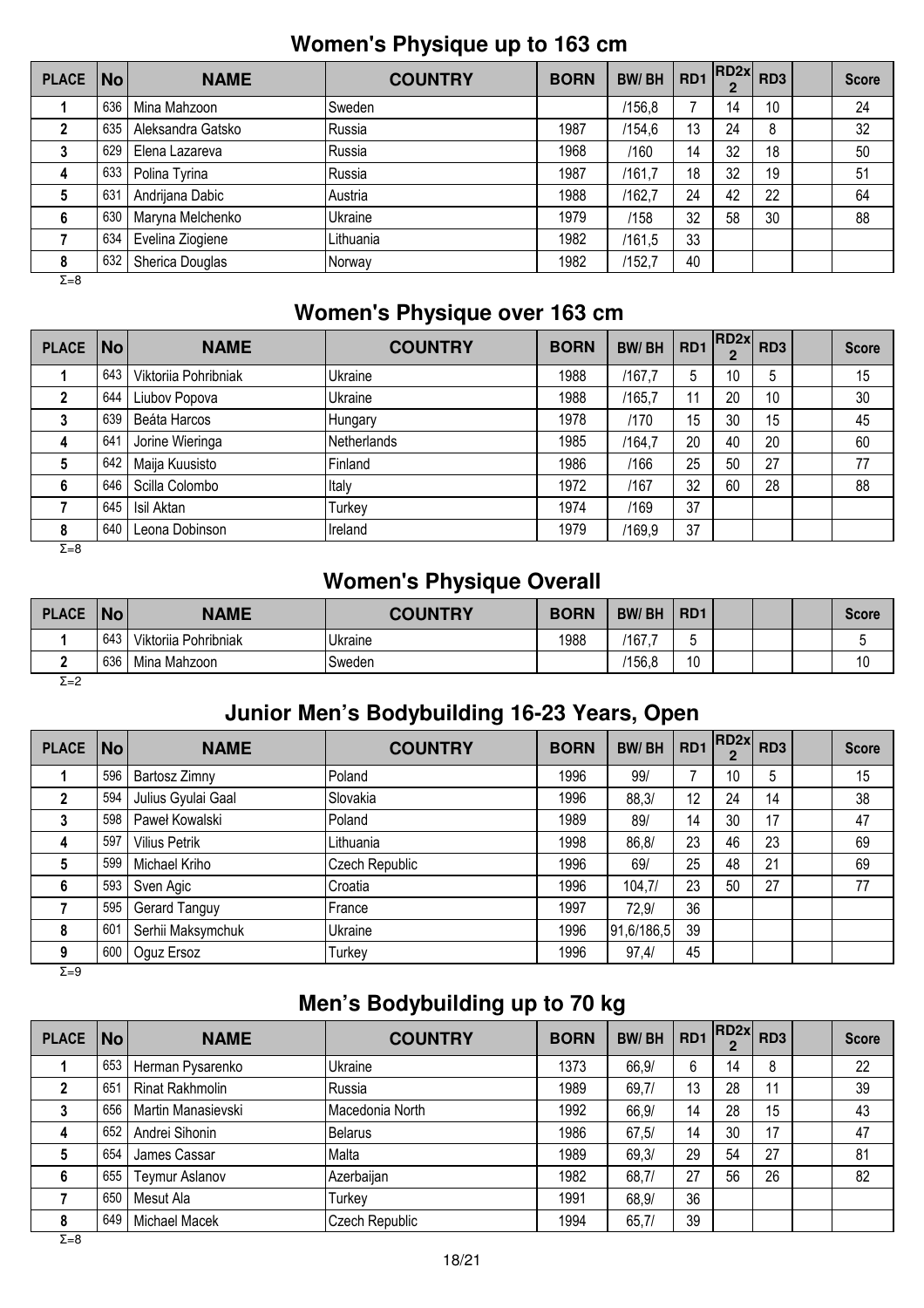## **Women's Physique up to 163 cm**

| PLACE   No   |     | <b>NAME</b>       | <b>COUNTRY</b> | <b>BORN</b> | <b>BW/BH</b> | RD1 | RD2x | RD <sub>3</sub> | <b>Score</b> |
|--------------|-----|-------------------|----------------|-------------|--------------|-----|------|-----------------|--------------|
|              | 636 | Mina Mahzoon      | Sweden         |             | /156,8       |     | 14   | 10              | 24           |
|              | 635 | Aleksandra Gatsko | Russia         | 1987        | /154,6       | 13  | 24   | 8               | 32           |
|              | 629 | Elena Lazareva    | Russia         | 1968        | /160         | 14  | 32   | 18              | 50           |
| 4            | 633 | Polina Tyrina     | Russia         | 1987        | /161.7       | 18  | 32   | 19              | 51           |
|              | 631 | Andrijana Dabic   | Austria        | 1988        | /162,7       | 24  | 42   | 22              | 64           |
| 6            | 630 | Maryna Melchenko  | Ukraine        | 1979        | /158         | 32  | 58   | 30              | 88           |
|              | 634 | Evelina Ziogiene  | Lithuania      | 1982        | /161,5       | 33  |      |                 |              |
| 8            | 632 | Sherica Douglas   | Norway         | 1982        | /152,7       | 40  |      |                 |              |
| $\Sigma = 8$ |     |                   |                |             |              |     |      |                 |              |

## **Women's Physique over 163 cm**

| PLACE No     |     | <b>NAME</b>          | <b>COUNTRY</b> | <b>BORN</b> | <b>BW/BH</b> | RD <sub>1</sub> | RD2x | RD <sub>3</sub> | <b>Score</b> |
|--------------|-----|----------------------|----------------|-------------|--------------|-----------------|------|-----------------|--------------|
|              | 643 | Viktoriia Pohribniak | Ukraine        | 1988        | /167.7       | 5               | 10   | 5               | 15           |
|              | 644 | Liubov Popova        | Ukraine        | 1988        | /165,7       | 11              | 20   | 10              | 30           |
|              | 639 | Beáta Harcos         | Hungary        | 1978        | /170         | 15              | 30   | 15              | 45           |
| 4            | 641 | Jorine Wieringa      | Netherlands    | 1985        | /164,7       | 20              | 40   | 20              | 60           |
| 5            | 642 | Maija Kuusisto       | Finland        | 1986        | /166         | 25              | 50   | 27              | 77           |
| 6            | 646 | Scilla Colombo       | Italy          | 1972        | /167         | 32              | 60   | 28              | 88           |
|              | 645 | Isil Aktan           | Turkey         | 1974        | /169         | 37              |      |                 |              |
| 8            | 640 | Leona Dobinson       | Ireland        | 1979        | /169,9       | 37              |      |                 |              |
| $\Sigma = 8$ |     |                      |                |             |              |                 |      |                 |              |

## **Women's Physique Overall**

| <b>PLACE</b> | No  | <b>NAME</b>          | <b>COUNTRY</b> | <b>BORN</b> | <b>BW/BH</b> | R <sub>D</sub> 1         |  | Score |
|--------------|-----|----------------------|----------------|-------------|--------------|--------------------------|--|-------|
|              | 643 | Viktoriia Pohribniak | Ukraine        | 1988        | '167.        |                          |  |       |
|              | 636 | Mina Mahzoon         | 'Sweden        |             | /156.8       | $\Lambda$ $\Lambda$<br>U |  |       |
| Σ=2          |     |                      |                |             |              |                          |  |       |

## **Junior Men's Bodybuilding 16-23 Years, Open**

| <b>PLACE</b> | $\overline{\mathsf{No}}$ | <b>NAME</b>          | <b>COUNTRY</b> | <b>BORN</b> | <b>BW/BH</b> | RD1 | RD2x | RD <sub>3</sub> | <b>Score</b> |
|--------------|--------------------------|----------------------|----------------|-------------|--------------|-----|------|-----------------|--------------|
|              | 596                      | Bartosz Zimny        | Poland         | 1996        | 99/          |     | 10   | 5               | 15           |
|              | 594                      | Julius Gyulai Gaal   | Slovakia       | 1996        | 88,3/        | 12  | 24   | 14              | 38           |
| 3            | 598                      | Paweł Kowalski       | Poland         | 1989        | 89/          | 14  | 30   | 17              | 47           |
| 4            | 597                      | <b>Vilius Petrik</b> | Lithuania      | 1998        | 86,8/        | 23  | 46   | 23              | 69           |
| 5            | 599                      | Michael Kriho        | Czech Republic | 1996        | 69/          | 25  | 48   | 21              | 69           |
| 6            | 593                      | Sven Agic            | Croatia        | 1996        | 104,7/       | 23  | 50   | 27              | 77           |
|              | 595                      | Gerard Tanguy        | France         | 1997        | 72,9/        | 36  |      |                 |              |
| 8            | 601                      | Serhii Maksymchuk    | Ukraine        | 1996        | 91,6/186,5   | 39  |      |                 |              |
| 9            | 600                      | Oguz Ersoz           | Turkey         | 1996        | 97,4/        | 45  |      |                 |              |

 $\overline{Σ=9}$ 

## **Men's Bodybuilding up to 70 kg**

| PLACE No |     | <b>NAME</b>           | <b>COUNTRY</b>  | <b>BORN</b> | <b>BW/BH</b> | RD <sub>1</sub> | $RD2x$ RD3 |    | <b>Score</b> |
|----------|-----|-----------------------|-----------------|-------------|--------------|-----------------|------------|----|--------------|
|          | 653 | Herman Pysarenko      | Ukraine         | 1373        | 66,9/        | 6               | 14         | 8  | 22           |
|          | 651 | Rinat Rakhmolin       | Russia          | 1989        | 69,7/        | 13              | 28         | 11 | 39           |
|          | 656 | Martin Manasievski    | Macedonia North | 1992        | 66,9/        | 14              | 28         | 15 | 43           |
| 4        | 652 | Andrei Sihonin        | <b>Belarus</b>  | 1986        | 67,5/        | 14              | 30         | 17 | 47           |
|          | 654 | James Cassar          | Malta           | 1989        | 69,3/        | 29              | 54         | 27 | 81           |
| 6        | 655 | <b>Teymur Aslanov</b> | Azerbaijan      | 1982        | 68,7/        | 27              | 56         | 26 | 82           |
|          | 650 | Mesut Ala             | Turkey          | 1991        | 68,9/        | 36              |            |    |              |
| 8        | 649 | Michael Macek         | Czech Republic  | 1994        | 65,7/        | 39              |            |    |              |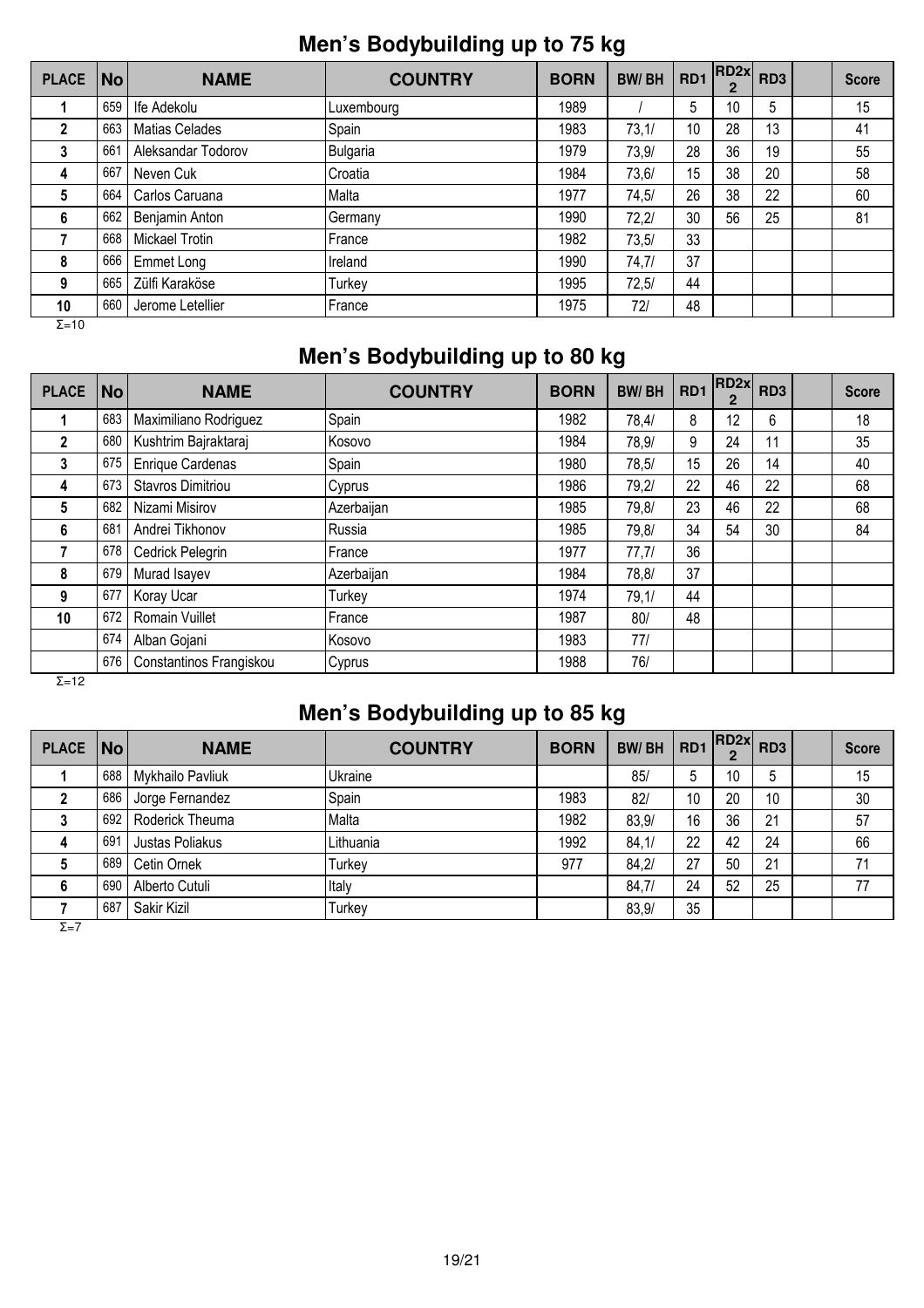## **Men's Bodybuilding up to 75 kg**

| <b>PLACE</b>  | $\vert$ No $\vert$ | <b>NAME</b>           | <b>COUNTRY</b> | <b>BORN</b> | <b>BW/BH</b> | RD1 | RD2x <br>$\overline{2}$ | RD <sub>3</sub> | <b>Score</b> |
|---------------|--------------------|-----------------------|----------------|-------------|--------------|-----|-------------------------|-----------------|--------------|
|               | 659                | Ife Adekolu           | Luxembourg     | 1989        |              | 5   | 10                      | 5               | 15           |
| 2             | 663                | <b>Matias Celades</b> | Spain          | 1983        | 73,1/        | 10  | 28                      | 13              | 41           |
| 3             | 661                | Aleksandar Todorov    | Bulgaria       | 1979        | 73.9/        | 28  | 36                      | 19              | 55           |
| 4             | 667                | Neven Cuk             | Croatia        | 1984        | 73,6/        | 15  | 38                      | 20              | 58           |
| 5             | 664                | Carlos Caruana        | Malta          | 1977        | 74,5/        | 26  | 38                      | 22              | 60           |
| 6             | 662                | Benjamin Anton        | Germany        | 1990        | 72,2/        | 30  | 56                      | 25              | 81           |
|               | 668                | Mickael Trotin        | France         | 1982        | 73,5/        | 33  |                         |                 |              |
| 8             | 666                | Emmet Long            | Ireland        | 1990        | 74,7/        | 37  |                         |                 |              |
| 9             | 665                | Zülfi Karaköse        | Turkey         | 1995        | 72,5/        | 44  |                         |                 |              |
| 10            | 660                | Jerome Letellier      | France         | 1975        | 72/          | 48  |                         |                 |              |
| $\Sigma = 10$ |                    |                       |                |             |              |     |                         |                 |              |

## **Men's Bodybuilding up to 80 kg**

| <b>PLACE</b> | <b>No</b> | <b>NAME</b>              | <b>COUNTRY</b> | <b>BORN</b> | <b>BW/BH</b> | RD1 | RD2x <br>2 | RD <sub>3</sub> | <b>Score</b> |
|--------------|-----------|--------------------------|----------------|-------------|--------------|-----|------------|-----------------|--------------|
|              | 683       | Maximiliano Rodriguez    | Spain          | 1982        | 78,4/        | 8   | 12         | 6               | 18           |
| $\mathbf{2}$ | 680       | Kushtrim Bajraktaraj     | Kosovo         | 1984        | 78,9/        | 9   | 24         | 11              | 35           |
| 3            | 675       | Enrique Cardenas         | Spain          | 1980        | 78,5/        | 15  | 26         | 14              | 40           |
| 4            | 673       | <b>Stavros Dimitriou</b> | Cyprus         | 1986        | 79,2/        | 22  | 46         | 22              | 68           |
| 5            | 682       | Nizami Misirov           | Azerbaijan     | 1985        | 79,8/        | 23  | 46         | 22              | 68           |
| 6            | 681       | Andrei Tikhonov          | Russia         | 1985        | 79,8/        | 34  | 54         | 30              | 84           |
|              | 678       | Cedrick Pelegrin         | <b>France</b>  | 1977        | 77,7/        | 36  |            |                 |              |
| 8            | 679       | Murad Isayev             | Azerbaijan     | 1984        | 78,8/        | 37  |            |                 |              |
| 9            | 677       | Koray Ucar               | Turkey         | 1974        | 79,1/        | 44  |            |                 |              |
| 10           | 672       | <b>Romain Vuillet</b>    | France         | 1987        | 80/          | 48  |            |                 |              |
|              | 674       | Alban Gojani             | Kosovo         | 1983        | 77/          |     |            |                 |              |
|              | 676       | Constantinos Frangiskou  | Cyprus         | 1988        | 76/          |     |            |                 |              |

 $Σ=12$ 

# **Men's Bodybuilding up to 85 kg**

| <b>PLACE</b> | $\vert$ No $\vert$ | <b>NAME</b>      | <b>COUNTRY</b> | <b>BORN</b> | <b>BW/BH</b> | RD <sub>1</sub> | $  RD2x $ $RD3$ |    | <b>Score</b> |
|--------------|--------------------|------------------|----------------|-------------|--------------|-----------------|-----------------|----|--------------|
|              | 688                | Mykhailo Pavliuk | <b>Ukraine</b> |             | 85/          |                 | 10              | 5  | 15           |
|              | 686                | Jorge Fernandez  | Spain          | 1983        | 82/          | 10              | 20              | 10 | 30           |
| 3            | 692                | Roderick Theuma  | Malta          | 1982        | 83,9/        | 16              | 36              | 21 | 57           |
| 4            | 691                | Justas Poliakus  | Lithuania      | 1992        | 84,1/        | 22              | 42              | 24 | 66           |
|              | 689                | Cetin Ornek      | Turkey         | 977         | 84,2/        | 27              | 50              | 21 | 71           |
| 6            | 690                | Alberto Cutuli   | Italy          |             | 84,7/        | 24              | 52              | 25 | 77           |
|              | 687                | Sakir Kizil      | Turkey         |             | 83,9/        | 35              |                 |    |              |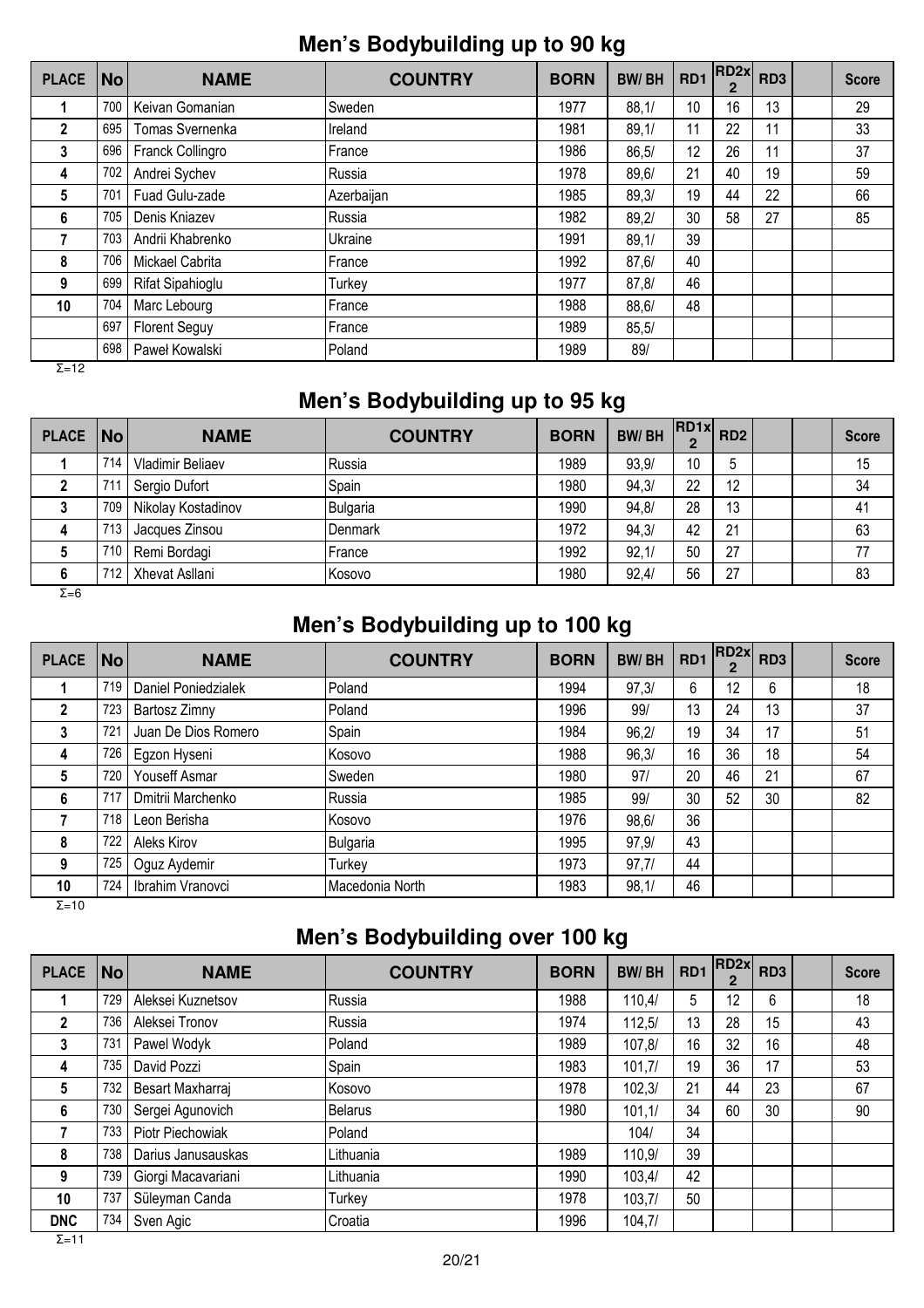## **Men's Bodybuilding up to 90 kg**

| <b>PLACE</b> | <b>No</b> | <b>NAME</b>          | <b>COUNTRY</b> | <b>BORN</b> | <b>BW/BH</b> | RD <sub>1</sub> | RD2x <br>$\overline{2}$ | RD <sub>3</sub> | <b>Score</b> |
|--------------|-----------|----------------------|----------------|-------------|--------------|-----------------|-------------------------|-----------------|--------------|
|              | 700       | Keivan Gomanian      | Sweden         | 1977        | 88,1/        | 10              | 16                      | 13              | 29           |
| $\mathbf{2}$ | 695       | Tomas Svernenka      | Ireland        | 1981        | 89,1/        | 11              | 22                      | 11              | 33           |
| 3            | 696       | Franck Collingro     | France         | 1986        | 86.5/        | 12              | 26                      | 11              | 37           |
| 4            | 702       | Andrei Sychev        | Russia         | 1978        | 89,6/        | 21              | 40                      | 19              | 59           |
| 5            | 701       | Fuad Gulu-zade       | Azerbaijan     | 1985        | 89.3/        | 19              | 44                      | 22              | 66           |
| 6            | 705       | Denis Kniazev        | Russia         | 1982        | 89,2/        | 30              | 58                      | 27              | 85           |
|              | 703       | Andrii Khabrenko     | Ukraine        | 1991        | 89,1/        | 39              |                         |                 |              |
| 8            | 706       | Mickael Cabrita      | France         | 1992        | 87,6/        | 40              |                         |                 |              |
| 9            | 699       | Rifat Sipahioglu     | Turkey         | 1977        | 87,8/        | 46              |                         |                 |              |
| 10           | 704       | Marc Lebourg         | France         | 1988        | 88,6/        | 48              |                         |                 |              |
|              | 697       | <b>Florent Seguy</b> | France         | 1989        | 85,5/        |                 |                         |                 |              |
|              | 698       | Paweł Kowalski       | Poland         | 1989        | 89/          |                 |                         |                 |              |

 $\overline{Σ}$ =12

## **Men's Bodybuilding up to 95 kg**

| <b>PLACE</b> | $\vert$ No $\vert$ | <b>NAME</b>        | <b>COUNTRY</b>  | <b>BORN</b> | <b>BW/BH</b> | $\cdot$  RD1x  RD2 |    |  | <b>Score</b> |
|--------------|--------------------|--------------------|-----------------|-------------|--------------|--------------------|----|--|--------------|
|              | 714                | Vladimir Beliaev   | Russia          | 1989        | 93.9/        | 10                 | 5  |  | 15           |
|              | 711                | Sergio Dufort      | Spain           | 1980        | 94.3/        | 22                 | 12 |  | 34           |
| 3            | 709                | Nikolay Kostadinov | <b>Bulgaria</b> | 1990        | 94.8/        | 28                 | 13 |  | 41           |
| 4            | 713                | Jacques Zinsou     | <b>Denmark</b>  | 1972        | 94,3/        | 42                 | 21 |  | 63           |
| C            | 710                | Remi Bordagi       | France          | 1992        | 92,1/        | 50                 | 27 |  | 77           |
| 6            | 712                | Xhevat Asllani     | Kosovo          | 1980        | 92,4/        | 56                 | 27 |  | 83           |
| $\Sigma = 6$ |                    |                    |                 |             |              |                    |    |  |              |

## **Men's Bodybuilding up to 100 kg**

| PLACE   No  |     | <b>NAME</b>          | <b>COUNTRY</b>  | <b>BORN</b> | <b>BW/BH</b> | RD <sub>1</sub> | RD2x | RD <sub>3</sub> | <b>Score</b> |
|-------------|-----|----------------------|-----------------|-------------|--------------|-----------------|------|-----------------|--------------|
|             | 719 | Daniel Poniedzialek  | Poland          | 1994        | 97,3/        | 6               | 12   | 6               | 18           |
| $\mathbf 2$ | 723 | Bartosz Zimny        | Poland          | 1996        | 99/          | 13              | 24   | 13              | 37           |
| 3           | 721 | Juan De Dios Romero  | Spain           | 1984        | 96,2/        | 19              | 34   | 17              | 51           |
| 4           | 726 | Egzon Hyseni         | <b>IKosovo</b>  | 1988        | 96,3/        | 16              | 36   | 18              | 54           |
| 5           | 720 | <b>Youseff Asmar</b> | Sweden          | 1980        | 97/          | 20              | 46   | 21              | 67           |
| 6           | 717 | Dmitrii Marchenko    | lRussia         | 1985        | 99/          | 30              | 52   | 30              | 82           |
|             | 718 | Leon Berisha         | <b>IKosovo</b>  | 1976        | 98, 6/       | 36              |      |                 |              |
| 8           | 722 | Aleks Kirov          | Bulgaria        | 1995        | 97,9/        | 43              |      |                 |              |
| 9           | 725 | Oguz Aydemir         | Turkey          | 1973        | 97,7/        | 44              |      |                 |              |
| 10          | 724 | Ibrahim Vranovci     | Macedonia North | 1983        | 98,1/        | 46              |      |                 |              |

Σ=10

# **Men's Bodybuilding over 100 kg**

| <b>PLACE</b> | <b>No</b> | <b>NAME</b>        | <b>COUNTRY</b> | <b>BORN</b> | <b>BW/BH</b> | RD1 | RD <sub>2x</sub> | RD <sub>3</sub> | <b>Score</b> |
|--------------|-----------|--------------------|----------------|-------------|--------------|-----|------------------|-----------------|--------------|
|              | 729       | Aleksei Kuznetsov  | Russia         | 1988        | 110.4/       | 5   | 12               | 6               | 18           |
| $\mathbf{2}$ | 736       | Aleksei Tronov     | lRussia        | 1974        | 112.5/       | 13  | 28               | 15              | 43           |
| 3            | 731       | Pawel Wodyk        | Poland         | 1989        | 107.8/       | 16  | 32               | 16              | 48           |
| 4            | 735       | David Pozzi        | Spain          | 1983        | 101,7/       | 19  | 36               | 17              | 53           |
| 5            | 732       | Besart Maxharraj   | Kosovo         | 1978        | 102.3/       | 21  | 44               | 23              | 67           |
| 6            | 730       | Sergei Agunovich   | <b>Belarus</b> | 1980        | 101.1/       | 34  | 60               | 30              | 90           |
|              | 733       | Piotr Piechowiak   | Poland         |             | 104/         | 34  |                  |                 |              |
| 8            | 738       | Darius Janusauskas | Lithuania      | 1989        | 110.9/       | 39  |                  |                 |              |
| 9            | 739       | Giorgi Macavariani | Lithuania      | 1990        | 103,4/       | 42  |                  |                 |              |
| 10           | 737       | Süleyman Canda     | Turkey         | 1978        | 103.7/       | 50  |                  |                 |              |
| <b>DNC</b>   | 734       | Sven Agic          | Croatia        | 1996        | 104,7/       |     |                  |                 |              |